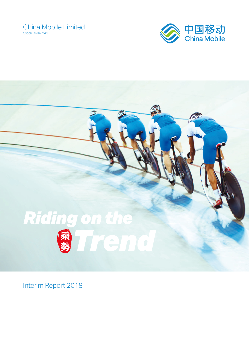# China Mobile Limited Stock Code: 941





Interim Report 2018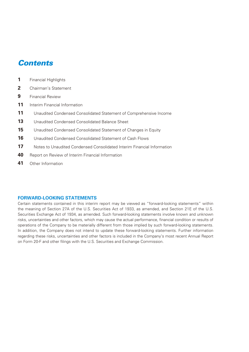# *Contents*

- **1** Financial Highlights
- **2** Chairman's Statement
- **9** Financial Review
- **11** Interim Financial Information
- **11** Unaudited Condensed Consolidated Statement of Comprehensive Income
- **13** Unaudited Condensed Consolidated Balance Sheet
- **15** Unaudited Condensed Consolidated Statement of Changes in Equity
- **16** Unaudited Condensed Consolidated Statement of Cash Flows
- **17** Notes to Unaudited Condensed Consolidated Interim Financial Information
- **40** Report on Review of Interim Financial Information
- **41** Other Information

# **FORWARD-LOOKING STATEMENTS**

Certain statements contained in this interim report may be viewed as "forward-looking statements" within the meaning of Section 27A of the U.S. Securities Act of 1933, as amended, and Section 21E of the U.S. Securities Exchange Act of 1934, as amended. Such forward-looking statements involve known and unknown risks, uncertainties and other factors, which may cause the actual performance, financial condition or results of operations of the Company to be materially different from those implied by such forward-looking statements. In addition, the Company does not intend to update these forward-looking statements. Further information regarding these risks, uncertainties and other factors is included in the Company's most recent Annual Report on Form 20-F and other filings with the U.S. Securities and Exchange Commission.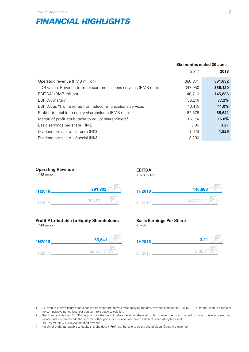

|                                                                   | Six months ended 30 June |         |
|-------------------------------------------------------------------|--------------------------|---------|
|                                                                   | 2017                     | 2018    |
| Operating revenue (RMB million)                                   | 388,871                  | 391,832 |
| Of which: Revenue from telecommunications services (RMB million)  | 347,950                  | 356,120 |
| EBITDA <sup>2</sup> (RMB million)                                 | 140,710                  | 145,886 |
| EBITDA margin <sup>3</sup>                                        | 36.2%                    | 37.2%   |
| EBITDA as % of revenue from telecommunications services           | 40.4%                    | 41.0%   |
| Profit attributable to equity shareholders (RMB million)          | 62,675                   | 65,641  |
| Margin of profit attributable to equity shareholders <sup>4</sup> | 16.1%                    | 16.8%   |
| Basic earnings per share (RMB)                                    | 3.06                     | 3.21    |
| Dividend per share - Interim (HK\$)                               | 1.623                    | 1.826   |
| Dividend per share – Special (HK\$)                               | 3.200                    |         |

# **Operating Revenue**

(RMB million)

#### **EBITDA** (RMB million)



# **Profit Attributable to Equity Shareholders**

(RMB million)



|        | <b>Basic Earnings Per Share</b> |  |  |
|--------|---------------------------------|--|--|
| IDMADI |                                 |  |  |

**1H2018**

1H2017

(RMB)



**145,886**

140,710

3 EBITDA margin = EBITDA/Operating revenue

4 Margin of profit attributable to equity shareholders = Profit attributable to equity shareholders/Operating revenue

<sup>1</sup> All revenue growth figures contained in this report are derived after applying the new revenue standard (IFRS/HKFRS 15) to the revenue figures of the comparative period last year pursuant to a static calculation.

<sup>2</sup> The Company defines EBITDA as profit for the period before taxation, share of profit of investments accounted for using the equity method, finance costs, interest and other income, other gains, depreciation and amortization of other intangible assets.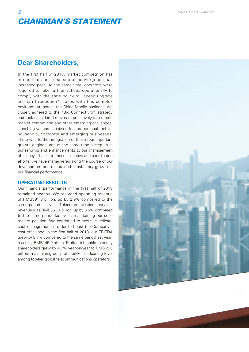# *CHAIRMAN'S STATEMENT*

# **Dear Shareholders,**

In the first half of 2018, market competition has intensified and cross-sector convergence has increased pace. At the same time, operators were required to take further actions operationally to comply with the state policy of "speed upgrade and tariff reduction". Faced with this complex environment, across the China Mobile business, we closely adhered to the "Big Connectivity" strategy and took considered moves to proactively tackle both market competition and other emerging challenges, launching various initiatives for the personal mobile, household, corporate and emerging businesses. There was further integration of these four important growth engines, and at the same time a step-up in our reforms and enhancements to our management efficiency. Thanks to these collective and coordinated efforts, we have maneuvered along the course of our development and maintained satisfactory growth in our financial performance.

# **OPERATING RESULTS**

Our financial performance in the first half of 2018 remained healthy. We recorded operating revenue of RMB391.8 billion, up by 2.9% compared to the same period last year. Telecommunications services revenue was RMB356.1 billion, up by 5.5% compared to the same period last year, maintaining our solid market position. We continued to exercise delicate cost management in order to boost the Company's cost efficiency. In the first half of 2018, our EBITDA grew by 3.7% compared to the same period last year, reaching RMB145.9 billion. Profit attributable to equity shareholders grew by 4.7% year-on-year to RMB65.6 billion, maintaining our profitability at a leading level among top-tier global telecommunications operators.

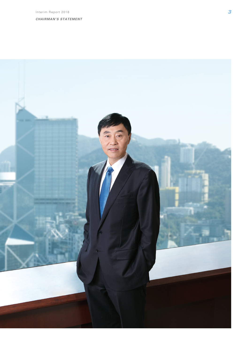Interim Report 2018 *CHAIRMAN'S STATEMENT*

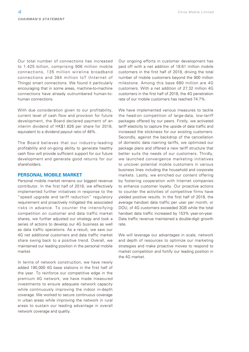Our total number of connections has increased to 1.425 billion, comprising 906 million mobile connections, 135 million wireline broadband connections and 384 million IoT (Internet of Things) smart connections. We found it particularly encouraging that in some areas, machine-to-machine connections have already outnumbered human-tohuman connections.

With due consideration given to our profitability, current level of cash flow and provision for future development, the Board declared payment of an interim dividend of HK\$1.826 per share for 2018, equivalent to a dividend payout ratio of 48%.

The Board believes that our industry-leading profitability and on-going ability to generate healthy cash flow will provide sufficient support for our future development and generate good returns for our shareholders.

#### **PERSONAL MOBILE MARKET**

Personal mobile market remains our biggest revenue contributor. In the first half of 2018, we effectively implemented further initiatives in response to the "speed upgrade and tariff reduction" regulatory requirement and proactively mitigated the associated risks in advance. To counter the intensifying competition on customer and data traffic market shares, we further adjusted our strategy and took a series of actions to develop our 4G business as well as data traffic operations. As a result, we saw our 4G net additional customers and data traffic market share swing back to a positive trend. Overall, we maintained our leading position in the personal mobile market.

In terms of network construction, we have newly added 190,000 4G base stations in the first half of the year. To reinforce our competitive edge in the premium 4G network, we have made measured investments to ensure adequate network capacity while continuously improving the indoor in-depth coverage. We worked to secure continuous coverage in urban areas while improving the network in rural areas to sustain our leading advantage in overall network coverage and quality.

Our ongoing efforts in customer development has paid off with a net addition of 18.61 million mobile customers in the first half of 2018, driving the total number of mobile customers beyond the 900 million milestone. Among this base 680 million are 4G customers. With a net addition of 27.32 million 4G customers in the first half of 2018, the 4G penetration rate of our mobile customers has reached 74.7%.

We have implemented various measures to tackle the head-on competition of large-data, low-tariff packages offered by our peers. Firstly, we activated tariff elasticity to capture the upside of data traffic and increased the stickiness for our existing customers. Secondly, against the backdrop of the cancellation of domestic data roaming tariffs, we optimized our package plans and offered a new tariff structure that better suits the needs of our customers. Thirdly, we launched convergence marketing initiatives to uncover potential mobile customers in various business lines including the household and corporate markets. Lastly, we enriched our content offering by fostering cooperation with Internet companies to enhance customer loyalty. Our proactive actions to counter the activities of competitive firms have yielded positive results. In the first half of 2018, the average handset data traffic per user per month, or DOU, of 4G customers exceeded 3GB while the total handset data traffic increased by 153% year-on-year. Data traffic revenue maintained a double-digit growth rate.

We will leverage our advantages in scale, network and depth of resources to optimize our marketing strategies and make proactive moves to respond to market competition and fortify our leading position in the 4G market.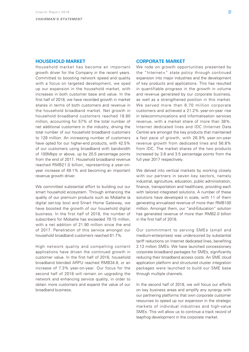# **HOUSEHOLD MARKET**

Household market has become an important growth driver for the Company in the recent years. Committed to boosting network speed and quality with a focus on targeted development, we sped up our expansion in the household market, with increases in both customer base and value. In the first half of 2018, we have recorded growth in market shares in terms of both customers and revenue in the household broadband market. Net growth in household broadband customers reached 18.80 million, accounting for 57% of the total number of net additional customers in the industry, driving the total number of our household broadband customers to 128 million. An increasing number of customers have opted for our higher-end products, with 42.5% of our customers using broadband with bandwidth of 100Mbps or above, up by 20.5 percentage points from the end of 2017. Household broadband revenue reached RMB21.0 billion, representing a year-onyear increase of 49.1% and becoming an important revenue growth driver.

We committed substantial effort to building out our smart household ecosystem. Through enhancing the quality of our premium products such as Mobaihe (a digital set-top box) and Smart Home Gateway, we have boosted the growth of our household digital business. In the first half of 2018, the number of subscribers for Mobaihe has exceeded 79.15 million, with a net addition of 21.90 million since the end of 2017. Penetration of this service amongst our household broadband customers reached 61.7%.

High network quality and compelling content applications have driven the continued growth in customer value. In the first half of 2018, household broadband blended ARPU reached RMB34.8, or an increase of 7.3% year-on-year. Our focus for the second half of 2018 will remain on upgrading the network and enhancing service quality, in order to obtain more customers and expand the value of our broadband business.

# **CORPORATE MARKET**

We rode on growth opportunities presented by the "Internet+" state policy through continued expansion into major industries and the development of key products and applications. This has resulted in quantifiable progress in the growth in volume and revenue generated by our corporate business, as well as a strengthened position in this market. We served more than 6.70 million corporate customers and achieved a 21.2% year-on-year rise in telecommunications and informatisation services revenue, with a market share of more than 38%. Internet dedicated lines and IDC (Internet Data Centre) are amongst the key products that maintained a fast pace of growth, with 26.9% year-on-year revenue growth from dedicated lines and 56.8% from IDC. The market shares of the two products increased by 3.8 and 3.5 percentage points from the full year 2017 respectively.

We delved into vertical markets by working closely with our partners in seven key sectors, namely industrial, agriculture, education, public administration, finance, transportation and healthcare, providing each with tailored integrated solutions. A number of these solutions have developed in scale, with 11 of them generating annualised revenue of more than RMB100 million. Amongst them, our "and-Education" solution has generated revenue of more than RMB2.0 billion in the first half of 2018.

Our commitment to serving SMEs (small and medium-enterprises) was underscored by substantial tariff reductions on Internet dedicated lines, benefiting 2.13 million SMEs. We have launched concessionary corporate broadband packages for SMEs, significantly reducing their broadband access costs. An SME cloud application platform and structured cluster integration packages were launched to build our SME base through multiple channels.

In the second half of 2018, we will focus our efforts on key business areas and amplify any synergy with our partnering platforms that own corporate customer resources to speed up our expansion in the strategic markets of individual industries and high-value SMEs. This will allow us to continue a track record of leapfrog development in the corporate market.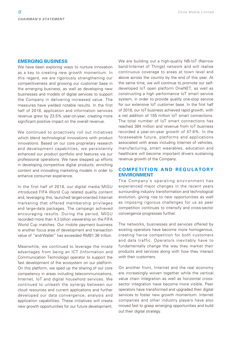# **EMERGING BUSINESS**

We have been exploring ways to nurture innovation as a key to creating new growth momentum. In this regard, we are rigorously strengthening our competitiveness and growing our customer base in the emerging business, as well as developing new businesses and models of digital services to support the Company in delivering increased value. The measures have yielded notable results. In the first half of 2018, application and information services revenue grew by 23.5% year-on-year, creating more significant positive impact on the overall revenue.

We continued to proactively roll out initiatives which blend technological innovations with product innovations. Based on our core proprietary research and development capabilities, we persistently enhanced our product portfolio and features via our professional operations. We have stepped up efforts in developing competitive digital products, enriching content and innovating marketing models in order to enhance consumer experience.

In the first half of 2018, our digital media MIGU introduced FIFA World Cup related quality content and, leveraging this, launched target-oriented Internet marketing that offered membership privileges and large-data packages. The campaign achieved encouraging results. During the period, MIGU recorded more than 4.3 billion viewership on the FIFA World Cup matches. Our mobile payment business is another focus area of development and transaction value of "and-Wallet" has exceeded RMB1.36 trillion.

Meanwhile, we continued to leverage the innate advantages from being an ICT (Information and Communication Technology) operator to support the fast development of the ecosystem on our platform. On this platform, we sped up the sharing of our core competency in areas including telecommunications, Internet, IoT and digital household services. We continued to unleash the synergy between our cloud resources and current applications and further developed our data convergence, analysis and application capabilities. These initiatives will create new growth opportunities for our future development. We are building out a high-quality NB-IoT (Narrow band-Internet of Things) network and will realise continuous coverage to areas at town level and above across the country by the end of this year. At the same time, we will continue to promote our selfdeveloped IoT open platform OneNET, as well as constructing a high performance IoT smart service system, in order to provide quality one-stop service for our extensive IoT customer base. In the first half of 2018, our IoT business achieved rapid growth, with a net addition of 155 million IoT smart connections. The total number of IoT smart connections has reached 384 million and revenue from IoT business recorded a year-on-year growth of 47.6%. In the foreseeable future, platforms and applications associated with areas including Internet of vehicles, manufacturing, smart wearables, education and healthcare will become important drivers sustaining revenue growth of the Company.

# **COMPETITION AND REGULATORY ENVIRONMENT**

The Company's operating environment has experienced major changes in the recent years surrounding industry transformation and technological evolution, giving rise to new opportunities as well as imposing rigorous challenges for us as peer competition continues to intensify and cross-sector convergence progresses further.

The networks, businesses and services offered by existing operators have become more homogenous, creating fierce competition for both customers and data traffic. Operators inevitably have to fundamentally change the way they market their products and services along with how they interact with their customers.

On another front, Internet and the real economy are increasingly woven together while the vertical value chain integration as well as horizontal crosssector integration have become more visible. Peer operators have transformed and upgraded their digital services to foster new growth momentum. Internet companies and other industry players have also moved fast to grasp emerging opportunities and build out their digital strategy.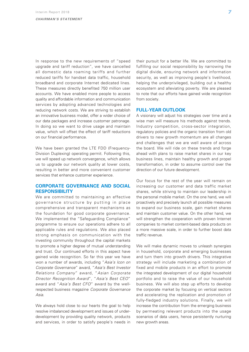In response to the new requirements of "speed upgrade and tariff reduction", we have cancelled all domestic data roaming tariffs and further reduced tariffs for handset data traffic, household broadband and corporate Internet dedicated lines. These measures directly benefited 750 million user accounts. We have enabled more people to access quality and affordable information and communication services by adopting advanced technologies and reducing network costs. We are striving to establish an innovative business model, offer a wider choice of our data packages and increase customer patronage. In doing so we want to drive usage and maintain value, which will offset the effect of tariff reductions on our financial performance.

We have been granted the LTE FDD (Frequency-Division Duplexing) operating permit. Following this, we will speed up network convergence, which allows us to upgrade our network quality at lower costs, resulting in better and more convenient customer services that enhance customer experience.

# **CORPORATE GOVERNANCE AND SOCIAL RESPONSIBILITY**

We are committed to maintaining an effective governance structure by putting in place comprehensive and transparent mechanisms as the foundation for good corporate governance. We implemented the "Safeguarding Compliance" programme to ensure our operations adhere to all applicable rules and regulations. We also placed strong emphasis on communication with the investing community throughout the capital markets to promote a higher degree of mutual understanding and trust. Our continued efforts in this aspect have gained wide recognition. So far this year we have won a number of awards, including "Asia's Icon on Corporate Governance" award, "Asia's Best Investor Relations Company" award, "Asian Corporate Director Recognition Award", "Asia's Best CEO" award and "Asia's Best CFO" award by the wellrespected business magazine Corporate Governance Asia.

We always hold close to our hearts the goal to help resolve imbalanced development and issues of underdevelopment by providing quality network, products and services, in order to satisfy people's needs in their pursuit for a better life. We are committed to fulfilling our social responsibility by narrowing the digital divide, ensuring network and information security, as well as improving people's livelihood, helping the underprivileged, building out a healthy ecosystem and alleviating poverty. We are pleased to note that our efforts have gained wide recognition from society.

#### **FULL-YEAR OUTLOOK**

A visionary will adjust his strategies over time and a wise man will measure his methods against trends. Industry competition, cross-sector integration, regulatory policies and the organic transition from old drivers to new growth momentum are all changes and challenges that we are well aware of across the board. We will ride on these trends and forge ahead with plans to raise market shares in our key business lines, maintain healthy growth and propel transformation, in order to assume control over the direction of our future development.

Our focus for the rest of the year will remain on increasing our customer and data traffic market shares, while striving to maintain our leadership in the personal mobile market. On the one hand, we will proactively and precisely launch all possible measures to expand our business scale, gain market shares and maintain customer value. On the other hand, we will strengthen the cooperation with proven Internet companies to market content-based data products on a more massive scale, in order to further boost data traffic revenue.

We will make dynamic moves to unleash synergies in household, corporate and emerging businesses and turn them into growth drivers. This integrative strategy will include marketing a combination of fixed and mobile products in an effort to promote the integrated development of our digital household portfolio and to raise the value of our household business. We will also step up efforts to develop the corporate market by focusing on vertical sectors and accelerating the replication and promotion of fully-fledged industry solutions. Finally, we will increase the contribution from the emerging business by permeating relevant products into the usage scenarios of data users, hence persistently nurturing new growth areas.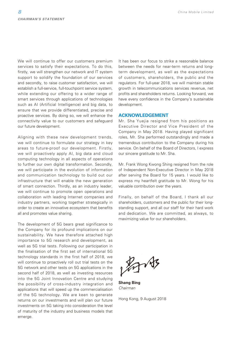We will continue to offer our customers premium services to satisfy their expectations. To do this, firstly, we will strengthen our network and IT system support to solidify the foundation of our services and secondly, to raise customer satisfaction, we will establish a full-service, full-touchpoint service system, while extending our offering to a wider range of smart services through applications of technologies such as AI (Artificial Intelligence) and big data, to ensure that we provide differentiated, precise and proactive services. By doing so, we will enhance the connectivity value to our customers and safeguard our future development.

Aligning with these new development trends, we will continue to formulate our strategy in key areas to future-proof our development. Firstly, we will proactively apply AI, big data and cloud computing technology in all aspects of operations to further our own digital transformation. Secondly, we will participate in the evolution of information and communication technology to build out our infrastructure that will enable the new generation of smart connection. Thirdly, as an industry leader, we will continue to promote open operations and collaboration with leading Internet companies and industry partners, working together strategically in order to create an innovative ecosystem that benefits all and promotes value sharing.

The development of 5G bears great significance to the Company for its profound implications on our sustainability. We have therefore attached high importance to 5G research and development, as well as 5G trial tests. Following our participation in the finalisation of the first set of international 5G technology standards in the first half of 2018, we will continue to proactively roll out trial tests on the 5G network and other tests on 5G applications in the second half of 2018, as well as investing resources into the 5G Joint Innovation Centre and studying the possibility of cross-industry integration and applications that will speed up the commercialisation of the 5G technology. We are keen to generate returns on our investments and will plan our future investments on 5G taking into consideration the level of maturity of the industry and business models that emerge.

It has been our focus to strike a reasonable balance between the needs for near-term returns and longterm development, as well as the expectations of customers, shareholders, the public and the regulators. For full-year 2018, we will maintain stable growth in telecommunications services revenue, net profits and shareholders returns. Looking forward, we have every confidence in the Company's sustainable development.

#### **ACKNOWLEDGEMENT**

Mr. Sha Yuejia resigned from his positions as Executive Director and Vice President of the Company in May 2018. Having played significant roles, Mr. Sha performed outstandingly and made a tremendous contribution to the Company during his service. On behalf of the Board of Directors, I express our sincere gratitude to Mr. Sha.

Mr. Frank Wong Kwong Shing resigned from the role of Independent Non-Executive Director in May 2018 after serving the Board for 15 years. I would like to express my heartfelt gratitude to Mr. Wong for his valuable contribution over the years.

Finally, on behalf of the Board, I thank all our shareholders, customers and the public for their longstanding support, and all our staff for their hard work and dedication. We are committed, as always, to maximizing value for our shareholders.

Barts

**Shang Bing** Chairman

Hong Kong, 9 August 2018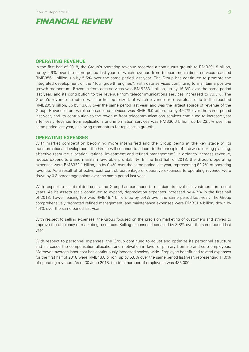

### **OPERATING REVENUE**

In the first half of 2018, the Group's operating revenue recorded a continuous growth to RMB391.8 billion, up by 2.9% over the same period last year, of which revenue from telecommunications services reached RMB356.1 billion, up by 5.5% over the same period last year. The Group has continued to promote the integrated development of the "four growth engines", with data services continuing to maintain a positive growth momentum. Revenue from data services was RMB283.1 billion, up by 16.3% over the same period last year, and its contribution to the revenue from telecommunications services increased to 79.5%. The Group's revenue structure was further optimized, of which revenue from wireless data traffic reached RMB205.9 billion, up by 13.0% over the same period last year, and was the largest source of revenue of the Group. Revenue from wireline broadband services was RMB26.0 billion, up by 49.2% over the same period last year, and its contribution to the revenue from telecommunications services continued to increase year after year. Revenue from applications and information services was RMB36.6 billion, up by 23.5% over the same period last year, achieving momentum for rapid scale growth.

#### **OPERATING EXPENSES**

With market competition becoming more intensified and the Group being at the key stage of its transformational development, the Group will continue to adhere to the principle of "forward-looking planning, effective resource allocation, rational investment and refined management" in order to increase revenue, reduce expenditure and maintain favorable profitability. In the first half of 2018, the Group's operating expenses were RMB322.1 billion, up by 0.4% over the same period last year, representing 82.2% of operating revenue. As a result of effective cost control, percentage of operative expenses to operating revenue were down by 0.3 percentage points over the same period last year.

With respect to asset-related costs, the Group has continued to maintain its level of investments in recent years. As its assets scale continued to expand, depreciation expenses increased by 4.2% in the first half of 2018. Tower leasing fee was RMB19.4 billion, up by 5.4% over the same period last year. The Group comprehensively promoted refined management, and maintenance expenses were RMB31.4 billion, down by 4.4% over the same period last year.

With respect to selling expenses, the Group focused on the precision marketing of customers and strived to improve the efficiency of marketing resources. Selling expenses decreased by 3.8% over the same period last year.

With respect to personnel expenses, the Group continued to adjust and optimize its personnel structure and increased the compensation allocation and motivation in favor of primary frontline and core employees. Moreover, average labor cost has continuously increased society-wide. Employee benefit and related expenses for the first half of 2018 were RMB43.0 billion, up by 5.6% over the same period last year, representing 11.0% of operating revenue. As of 30 June 2018, the total number of employees was 485,000.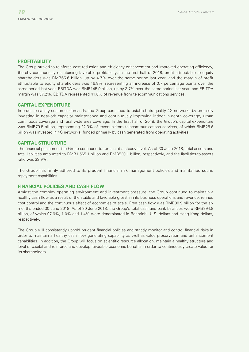# **PROFITABILITY**

The Group strived to reinforce cost reduction and efficiency enhancement and improved operating efficiency, thereby continuously maintaining favorable profitability. In the first half of 2018, profit attributable to equity shareholders was RMB65.6 billion, up by 4.7% over the same period last year, and the margin of profit attributable to equity shareholders was 16.8%, representing an increase of 0.7 percentage points over the same period last year. EBITDA was RMB145.9 billion, up by 3.7% over the same period last year, and EBITDA margin was 37.2%. EBITDA represented 41.0% of revenue from telecommunications services.

# **CAPITAL EXPENDITURE**

In order to satisfy customer demands, the Group continued to establish its quality 4G networks by precisely investing in network capacity maintenance and continuously improving indoor in-depth coverage, urban continuous coverage and rural wide area coverage. In the first half of 2018, the Group's capital expenditure was RMB79.5 billion, representing 22.3% of revenue from telecommunications services, of which RMB25.6 billion was invested in 4G networks, funded primarily by cash generated from operating activities.

# **CAPITAL STRUCTURE**

The financial position of the Group continued to remain at a steady level. As of 30 June 2018, total assets and total liabilities amounted to RMB1,565.1 billion and RMB530.1 billion, respectively, and the liabilities-to-assets ratio was 33.9%.

The Group has firmly adhered to its prudent financial risk management policies and maintained sound repayment capabilities.

# **FINANCIAL POLICIES AND CASH FLOW**

Amidst the complex operating environment and investment pressure, the Group continued to maintain a healthy cash flow as a result of the stable and favorable growth in its business operations and revenue, refined cost control and the continuous effect of economies of scale. Free cash flow was RMB38.9 billion for the six months ended 30 June 2018. As of 30 June 2018, the Group's total cash and bank balances were RMB394.8 billion, of which 97.6%, 1.0% and 1.4% were denominated in Renminbi, U.S. dollars and Hong Kong dollars, respectively.

The Group will consistently uphold prudent financial policies and strictly monitor and control financial risks in order to maintain a healthy cash flow generating capability as well as value preservation and enhancement capabilities. In addition, the Group will focus on scientific resource allocation, maintain a healthy structure and level of capital and reinforce and develop favorable economic benefits in order to continuously create value for its shareholders.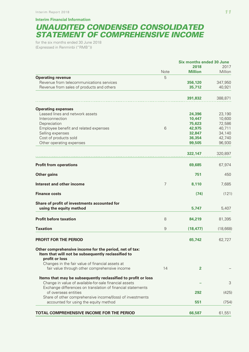#### **Interim Financial Information**

*UNAUDITED CONDENSED CONSOLIDATED STATEMENT OF COMPREHENSIVE INCOME*

for the six months ended 30 June 2018 (Expressed in Renminbi ("RMB"))

|                                                                                                                                |                | <b>Six months ended 30 June</b> |                  |  |
|--------------------------------------------------------------------------------------------------------------------------------|----------------|---------------------------------|------------------|--|
|                                                                                                                                |                | 2018                            | 2017             |  |
|                                                                                                                                | <b>Note</b>    | <b>Million</b>                  | Million          |  |
| <b>Operating revenue</b>                                                                                                       | 5              |                                 |                  |  |
| Revenue from telecommunications services                                                                                       |                | 356,120                         | 347,950          |  |
| Revenue from sales of products and others                                                                                      |                | 35,712                          | 40,921           |  |
|                                                                                                                                |                | 391,832                         | 388,871          |  |
| <b>Operating expenses</b>                                                                                                      |                |                                 |                  |  |
| Leased lines and network assets                                                                                                |                | 24,396                          | 23,190           |  |
| Interconnection<br>Depreciation                                                                                                |                | 10,447<br>75,623                | 10,600<br>72,586 |  |
| Employee benefit and related expenses                                                                                          | 6              | 42,975                          | 40,711           |  |
| Selling expenses                                                                                                               |                | 32,847                          | 34,140           |  |
| Cost of products sold                                                                                                          |                | 36,354                          | 42,740           |  |
| Other operating expenses                                                                                                       |                | 99,505                          | 96,930           |  |
|                                                                                                                                |                | 322,147                         | 320,897          |  |
| <b>Profit from operations</b>                                                                                                  |                | 69,685                          | 67,974           |  |
| <b>Other gains</b>                                                                                                             |                | 751                             | 450              |  |
| Interest and other income                                                                                                      | $\overline{7}$ | 8,110                           | 7,685            |  |
| <b>Finance costs</b>                                                                                                           |                | (74)                            | (121)            |  |
| Share of profit of investments accounted for<br>using the equity method                                                        |                | 5,747                           | 5,407            |  |
| <b>Profit before taxation</b>                                                                                                  | 8              | 84,219                          | 81,395           |  |
| <b>Taxation</b>                                                                                                                | 9              | (18, 477)                       | (18, 668)        |  |
|                                                                                                                                |                |                                 |                  |  |
| <b>PROFIT FOR THE PERIOD</b>                                                                                                   |                | 65,742                          | 62,727           |  |
| Other comprehensive income for the period, net of tax:<br>Item that will not be subsequently reclassified to<br>profit or loss |                |                                 |                  |  |
| Changes in the fair value of financial assets at<br>fair value through other comprehensive income                              | 14             | $\mathbf{2}$                    |                  |  |
|                                                                                                                                |                |                                 |                  |  |
| Items that may be subsequently reclassified to profit or loss<br>Change in value of available-for-sale financial assets        |                |                                 | 3                |  |
| Exchange differences on translation of financial statements<br>of overseas entities                                            |                | 292                             | (425)            |  |
| Share of other comprehensive income/(loss) of investments                                                                      |                |                                 |                  |  |
| accounted for using the equity method                                                                                          |                | 551                             | (754)            |  |
| TOTAL COMPREHENSIVE INCOME FOR THE PERIOD                                                                                      |                | 66,587                          | 61,551           |  |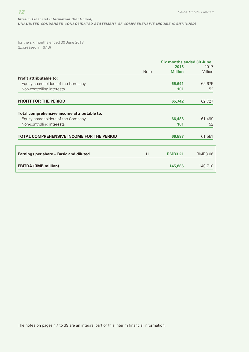for the six months ended 30 June 2018 (Expressed in RMB)

|                                                  |             | Six months ended 30 June |         |
|--------------------------------------------------|-------------|--------------------------|---------|
|                                                  |             | 2018                     | 2017    |
|                                                  | <b>Note</b> | <b>Million</b>           | Million |
| <b>Profit attributable to:</b>                   |             |                          |         |
| Equity shareholders of the Company               |             | 65,641                   | 62,675  |
| Non-controlling interests                        |             | 101                      | 52      |
| <b>PROFIT FOR THE PERIOD</b>                     |             | 65,742                   | 62,727  |
| Total comprehensive income attributable to:      |             |                          |         |
| Equity shareholders of the Company               |             | 66,486                   | 61,499  |
| Non-controlling interests                        |             | 101                      | 52      |
| <b>TOTAL COMPREHENSIVE INCOME FOR THE PERIOD</b> |             | 66,587                   | 61,551  |
|                                                  |             |                          |         |
| Earnings per share - Basic and diluted           | 11          | <b>RMB3.21</b>           | RMB3.06 |
| <b>EBITDA (RMB million)</b>                      |             | 145,886                  | 140,710 |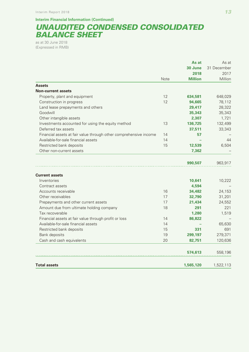# *UNAUDITED CONDENSED CONSOLIDATED BALANCE SHEET*

as at 30 June 2018 (Expressed in RMB)

|                                                                   |      | As at          | As at       |
|-------------------------------------------------------------------|------|----------------|-------------|
|                                                                   |      | 30 June        | 31 December |
|                                                                   |      | 2018           | 2017        |
|                                                                   | Note | <b>Million</b> | Million     |
| <b>Assets</b>                                                     |      |                |             |
| <b>Non-current assets</b>                                         |      |                |             |
| Property, plant and equipment                                     | 12   | 634,581        | 648,029     |
| Construction in progress                                          | 12   | 94,665         | 78,112      |
| Land lease prepayments and others                                 |      | 29,417         | 28,322      |
| Goodwill                                                          |      | 35,343         | 35,343      |
| Other intangible assets                                           |      | 2,307          | 1,721       |
| Investments accounted for using the equity method                 | 13   | 136,725        | 132,499     |
| Deferred tax assets                                               |      | 37,511         | 33,343      |
| Financial assets at fair value through other comprehensive income | 14   | 57             |             |
| Available-for-sale financial assets                               | 14   |                | 44          |
| Restricted bank deposits                                          | 15   | 12,539         | 6,504       |
| Other non-current assets                                          |      | 7,362          |             |
|                                                                   |      | 990,507        | 963,917     |
|                                                                   |      |                |             |
| <b>Current assets</b>                                             |      |                |             |
| Inventories                                                       |      | 10,641         | 10,222      |
| Contract assets                                                   |      | 4,594          |             |
| Accounts receivable                                               | 16   | 34,482         | 24,153      |
| Other receivables                                                 | 17   | 32,790         | 31,201      |
| Prepayments and other current assets                              | 17   | 21,434         | 24,552      |
| Amount due from ultimate holding company                          | 18   | 291            | 221         |
| Tax recoverable                                                   |      | 1,280          | 1,519       |
| Financial assets at fair value through profit or loss             | 14   | 86,822         |             |
| Available-for-sale financial assets                               | 14   |                | 65,630      |
| Restricted bank deposits                                          | 15   | 331            | 691         |
| <b>Bank deposits</b>                                              | 19   | 299,197        | 279,371     |
| Cash and cash equivalents                                         | 20   | 82,751         | 120,636     |
|                                                                   |      | 574,613        | 558,196     |
|                                                                   |      |                |             |
| <b>Total assets</b>                                               |      | 1,565,120      | 1,522,113   |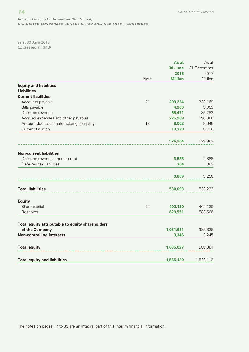*Interim Financial Information (Continued) UNAUDITED CONDENSED CONSOLIDATED BALANCE SHEET (CONTINUED)*

as at 30 June 2018 (Expressed in RMB)

|                                                  |      | As at          | As at       |
|--------------------------------------------------|------|----------------|-------------|
|                                                  |      | 30 June        | 31 December |
|                                                  |      | 2018           | 2017        |
|                                                  | Note | <b>Million</b> | Million     |
| <b>Equity and liabilities</b>                    |      |                |             |
| <b>Liabilities</b>                               |      |                |             |
| <b>Current liabilities</b>                       |      |                |             |
| Accounts payable                                 | 21   | 209,224        | 233,169     |
| Bills payable                                    |      | 4,260          | 3,303       |
| Deferred revenue                                 |      | 65,471         | 85,282      |
| Accrued expenses and other payables              |      | 225,909        | 190,866     |
| Amount due to ultimate holding company           | 18   | 8,002          | 8,646       |
| Current taxation                                 |      | 13,338         | 8,716       |
|                                                  |      | 526,204        | 529,982     |
| <b>Non-current liabilities</b>                   |      |                |             |
| Deferred revenue - non-current                   |      | 3,525          | 2,888       |
| Deferred tax liabilities                         |      | 364            | 362         |
|                                                  |      |                |             |
|                                                  |      | 3,889          | 3,250       |
| <b>Total liabilities</b>                         |      | 530,093        | 533,232     |
| <b>Equity</b>                                    |      |                |             |
| Share capital                                    | 22   | 402,130        | 402,130     |
| Reserves                                         |      | 629,551        | 583,506     |
| Total equity attributable to equity shareholders |      |                |             |
| of the Company                                   |      | 1,031,681      | 985,636     |
| <b>Non-controlling interests</b>                 |      | 3,346          | 3,245       |
|                                                  |      |                |             |
| <b>Total equity</b>                              |      | 1,035,027      | 988,881     |
| <b>Total equity and liabilities</b>              |      | 1,565,120      | 1,522,113   |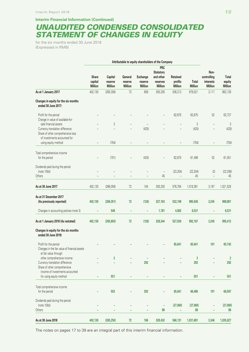# *UNAUDITED CONDENSED CONSOLIDATED STATEMENT OF CHANGES IN EQUITY*

for the six months ended 30 June 2018 (Expressed in RMB)

|                                                                                                                               |                                           |                                      |                                      |                                              | Attributable to equity shareholders of the Company                        |                                       |                                |                                                    |                                          |
|-------------------------------------------------------------------------------------------------------------------------------|-------------------------------------------|--------------------------------------|--------------------------------------|----------------------------------------------|---------------------------------------------------------------------------|---------------------------------------|--------------------------------|----------------------------------------------------|------------------------------------------|
|                                                                                                                               | <b>Share</b><br>capital<br><b>Million</b> | Capital<br>reserve<br><b>Million</b> | General<br>reserve<br><b>Million</b> | <b>Exchange</b><br>reserve<br><b>Million</b> | <b>PRC</b><br><b>Statutory</b><br>and other<br>reserves<br><b>Million</b> | Retained<br>profits<br><b>Million</b> | <b>Total</b><br><b>Million</b> | Non-<br>controlling<br>interests<br><b>Million</b> | <b>Total</b><br>equity<br><b>Million</b> |
| As at 1 January 2017                                                                                                          | 402,130                                   | (265, 308)                           | 72                                   | 609                                          | 305,205                                                                   | 536,313                               | 979,021                        | 3,117                                              | 982,138                                  |
| Changes in equity for the six months<br>ended 30 June 2017:                                                                   |                                           |                                      |                                      |                                              |                                                                           |                                       |                                |                                                    |                                          |
| Profit for the period<br>Change in value of available-for-                                                                    |                                           |                                      |                                      |                                              |                                                                           | 62,675                                | 62,675                         | 52                                                 | 62,727                                   |
| sale financial assets<br>Currency translation difference<br>Share of other comprehensive loss<br>of investments accounted for |                                           | $\sqrt{3}$                           |                                      | (425)                                        |                                                                           |                                       | 3<br>(425)                     | $\overline{a}$<br>-                                | 3<br>(425)                               |
| using equity method                                                                                                           |                                           | (754)                                |                                      |                                              |                                                                           |                                       | (754)                          |                                                    | (754)                                    |
| Total comprehensive income<br>for the period                                                                                  |                                           | (751)                                |                                      | (425)                                        |                                                                           | 62,675                                | 61,499                         | 52                                                 | 61,551                                   |
| Dividends paid during the period<br>(note 10(b))<br>Others                                                                    |                                           |                                      |                                      |                                              | $\overline{\phantom{0}}$<br>45                                            | (22, 204)<br>$\overline{a}$           | (22, 204)<br>45                | (2)<br>$\overline{\phantom{a}}$                    | (22, 206)<br>45                          |
| As at 30 June 2017                                                                                                            | 402,130                                   | (266, 059)                           | 72                                   | 184                                          | 305,250                                                                   | 576,784                               | 1,018,361                      | 3,167                                              | 1,021,528                                |
| As at 31 December 2017<br>(As previously reported)                                                                            | 402,130                                   | (266, 351)                           | 72                                   | (126)                                        | 327,163                                                                   | 522,748                               | 985,636                        | 3,245                                              | 988,881                                  |
| Changes in accounting policies (note 3)                                                                                       |                                           | 548                                  | ÷                                    | ۰                                            | 1,181                                                                     | 4,802                                 | 6,531                          | ۰                                                  | 6,531                                    |
| As at 1 January 2018 (As restated)                                                                                            | 402,130                                   | (265, 803)                           | 72                                   | (126)                                        | 328,344                                                                   | 527,550                               | 992,167                        | 3,245                                              | 995,412                                  |
| Changes in equity for the six months<br>ended 30 June 2018:                                                                   |                                           |                                      |                                      |                                              |                                                                           |                                       |                                |                                                    |                                          |
| Profit for the period<br>Changes in the fair value of financial assets<br>at fair value through                               |                                           |                                      |                                      |                                              |                                                                           | 65,641                                | 65,641                         | 101                                                | 65,742                                   |
| other comprehensive income                                                                                                    |                                           | $\overline{2}$                       |                                      |                                              |                                                                           |                                       | $\overline{2}$                 |                                                    | $\overline{2}$                           |
| Currency translation difference<br>Share of other comprehensive<br>income of investments accounted                            |                                           |                                      |                                      | 292                                          |                                                                           |                                       | 292                            |                                                    | 292                                      |
| for using equity method                                                                                                       |                                           | 551                                  |                                      |                                              |                                                                           |                                       | 551                            |                                                    | 551                                      |
| Total comprehensive income<br>for the period                                                                                  |                                           | 553                                  |                                      | 292                                          |                                                                           | 65,641                                | 66,486                         | 101                                                | 66,587                                   |
| Dividends paid during the period<br>(note 10(b))<br>Others                                                                    |                                           |                                      |                                      |                                              | 88                                                                        | (27,060)                              | (27,060)<br>88                 |                                                    | (27,060)<br>88                           |
| As at 30 June 2018                                                                                                            | 402,130                                   | (265, 250)                           | 72                                   | 166                                          | 328,432                                                                   | 566,131                               | 1,031,681                      | 3,346                                              | 1,035,027                                |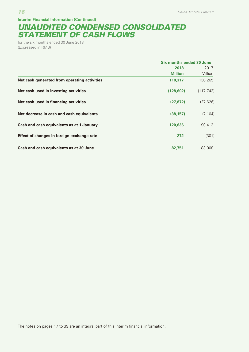# *UNAUDITED CONDENSED CONSOLIDATED STATEMENT OF CASH FLOWS*

for the six months ended 30 June 2018 (Expressed in RMB)

|                                                   | <b>Six months ended 30 June</b> |            |  |
|---------------------------------------------------|---------------------------------|------------|--|
|                                                   | 2018                            | 2017       |  |
|                                                   | <b>Million</b>                  | Million    |  |
| Net cash generated from operating activities      | 118,317                         | 138,265    |  |
| Net cash used in investing activities             | (128, 602)                      | (117, 743) |  |
| Net cash used in financing activities             | (27, 872)                       | (27, 626)  |  |
| Net decrease in cash and cash equivalents         | (38, 157)                       | (7, 104)   |  |
| Cash and cash equivalents as at 1 January         | 120,636                         | 90,413     |  |
| <b>Effect of changes in foreign exchange rate</b> | 272                             | (301)      |  |
| Cash and cash equivalents as at 30 June           | 82,751                          | 83,008     |  |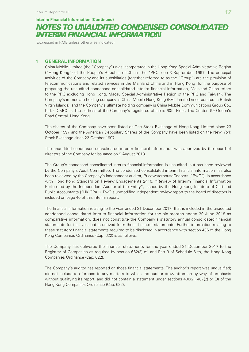# *NOTES TO UNAUDITED CONDENSED CONSOLIDATED INTERIM FINANCIAL INFORMATION*

(Expressed in RMB unless otherwise indicated)

# **1 GENERAL INFORMATION**

China Mobile Limited (the "Company") was incorporated in the Hong Kong Special Administrative Region ("Hong Kong") of the People's Republic of China (the "PRC") on 3 September 1997. The principal activities of the Company and its subsidiaries (together referred to as the "Group") are the provision of telecommunications and related services in the Mainland China and in Hong Kong (for the purpose of preparing the unaudited condensed consolidated interim financial information, Mainland China refers to the PRC excluding Hong Kong, Macau Special Administrative Region of the PRC and Taiwan). The Company's immediate holding company is China Mobile Hong Kong (BVI) Limited (incorporated in British Virgin Islands), and the Company's ultimate holding company is China Mobile Communications Group Co., Ltd. ("CMCC"). The address of the Company's registered office is 60th Floor, The Center, 99 Queen's Road Central, Hong Kong.

The shares of the Company have been listed on The Stock Exchange of Hong Kong Limited since 23 October 1997 and the American Depositary Shares of the Company have been listed on the New York Stock Exchange since 22 October 1997.

The unaudited condensed consolidated interim financial information was approved by the board of directors of the Company for issuance on 9 August 2018.

The Group's condensed consolidated interim financial information is unaudited, but has been reviewed by the Company's Audit Committee. The condensed consolidated interim financial information has also been reviewed by the Company's independent auditor, PricewaterhouseCoopers ("PwC"), in accordance with Hong Kong Standard on Review Engagements 2410, "Review of Interim Financial Information Performed by the Independent Auditor of the Entity", issued by the Hong Kong Institute of Certified Public Accountants ("HKICPA"). PwC's unmodified independent review report to the board of directors is included on page 40 of this interim report.

The financial information relating to the year ended 31 December 2017, that is included in the unaudited condensed consolidated interim financial information for the six months ended 30 June 2018 as comparative information, does not constitute the Company's statutory annual consolidated financial statements for that year but is derived from those financial statements. Further information relating to these statutory financial statements required to be disclosed in accordance with section 436 of the Hong Kong Companies Ordinance (Cap. 622) is as follows:

The Company has delivered the financial statements for the year ended 31 December 2017 to the Registrar of Companies as required by section 662(3) of, and Part 3 of Schedule 6 to, the Hong Kong Companies Ordinance (Cap. 622).

The Company's auditor has reported on those financial statements. The auditor's report was unqualified; did not include a reference to any matters to which the auditor drew attention by way of emphasis without qualifying its report; and did not contain a statement under sections 406(2), 407(2) or (3) of the Hong Kong Companies Ordinance (Cap. 622).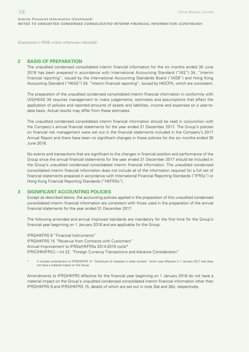# **2 BASIS OF PREPARATION**

The unaudited condensed consolidated interim financial information for the six months ended 30 June 2018 has been prepared in accordance with International Accounting Standard ("IAS") 34, "Interim financial reporting", issued by the International Accounting Standards Board ("IASB") and Hong Kong Accounting Standard ("HKAS") 34, "Interim financial reporting", issued by HKICPA, which are consistent.

The preparation of the unaudited condensed consolidated interim financial information in conformity with IAS/HKAS 34 requires management to make judgements, estimates and assumptions that affect the application of policies and reported amounts of assets and liabilities, income and expenses on a year-todate basis. Actual results may differ from these estimates.

The unaudited condensed consolidated interim financial information should be read in conjunction with the Company's annual financial statements for the year ended 31 December 2017. The Group's policies on financial risk management were set out in the financial statements included in the Company's 2017 Annual Report and there have been no significant changes in these policies for the six months ended 30 June 2018.

No events and transactions that are significant to the changes in financial position and performance of the Group since the annual financial statements for the year ended 31 December 2017 should be included in the Group's unaudited condensed consolidated interim financial information. The unaudited condensed consolidated interim financial information does not include all of the information required for a full set of financial statements prepared in accordance with International Financial Reporting Standards ("IFRSs") or Hong Kong Financial Reporting Standards ("HKFRSs").

# **3 SIGNIFICANT ACCOUNTING POLICIES**

Except as described below, the accounting policies applied in the preparation of this unaudited condensed consolidated interim financial information are consistent with those used in the preparation of the annual financial statements for the year ended 31 December 2017.

The following amended and annual improved standards are mandatory for the first time for the Group's financial year beginning on 1 January 2018 and are applicable for the Group:

IFRS/HKFRS 9 "Financial Instruments" IFRS/HKFRS 15 "Revenue from Contracts with Customers" Annual Improvement to IFRSs/HKFRSs 2014-2016 cycle\* IFRIC/HK(IFRIC) – Int 22, "Foreign Currency Transactions and Advance Consideration"

\* It includes amendment to IFRS/HKFRS 12 "Disclosure of interests in other entities" which was effective in 1 January 2017 and does not have a material impact on the Group.

Amendments to IFRS/HKFRS effective for the financial year beginning on 1 January 2018 do not have a material impact on the Group's unaudited condensed consolidated interim financial information other than IFRS/HKFRS 9 and IFRS/HKFRS 15, details of which are set out in note 3(a) and 3(b), respectively.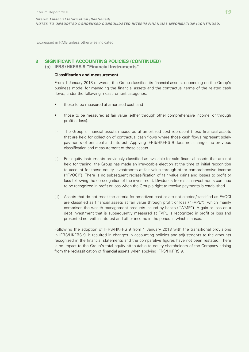# **3 SIGNIFICANT ACCOUNTING POLICIES (CONTINUED)**

**(a) IFRS/HKFRS 9 "Financial Instruments"**

#### **Classification and measurement**

From 1 January 2018 onwards, the Group classifies its financial assets, depending on the Group's business model for managing the financial assets and the contractual terms of the related cash flows, under the following measurement categories:

- those to be measured at amortized cost, and
- those to be measured at fair value (either through other comprehensive income, or through profit or loss).
- (i) The Group's financial assets measured at amortized cost represent those financial assets that are held for collection of contractual cash flows where those cash flows represent solely payments of principal and interest. Applying IFRS/HKFRS 9 does not change the previous classification and measurement of these assets.
- (ii) For equity instruments previously classified as available-for-sale financial assets that are not held for trading, the Group has made an irrevocable election at the time of initial recognition to account for these equity investments at fair value through other comprehensive income ("FVOCI"). There is no subsequent reclassification of fair value gains and losses to profit or loss following the derecognition of the investment. Dividends from such investments continue to be recognized in profit or loss when the Group's right to receive payments is established.
- (iii) Assets that do not meet the criteria for amortized cost or are not elected/classified as FVOCI are classified as financial assets at fair value through profit or loss ("FVPL"), which mainly comprises the wealth management products issued by banks ("WMP"). A gain or loss on a debt investment that is subsequently measured at FVPL is recognized in profit or loss and presented net within interest and other income in the period in which it arises.

Following the adoption of IFRS/HKFRS 9 from 1 January 2018 with the transitional provisions in IFRS/HKFRS 9, it resulted in changes in accounting policies and adjustments to the amounts recognized in the financial statements and the comparative figures have not been restated. There is no impact to the Group's total equity attributable to equity shareholders of the Company arising from the reclassification of financial assets when applying IFRS/HKFRS 9.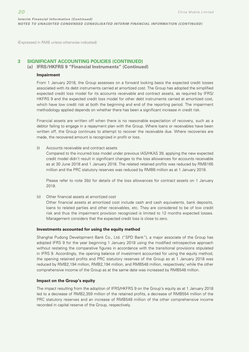# **3 SIGNIFICANT ACCOUNTING POLICIES (CONTINUED)**

# **(a) IFRS/HKFRS 9 "Financial Instruments" (Continued)**

### **Impairment**

From 1 January 2018, the Group assesses on a forward looking basis the expected credit losses associated with its debt instruments carried at amortized cost. The Group has adopted the simplified expected credit loss model for its accounts receivable and contract assets, as required by IFRS/ HKFRS 9 and the expected credit loss model for other debt instruments carried at amortized cost, which have low credit risk at both the beginning and end of the reporting period. The impairment methodology applied depends on whether there has been a significant increase in credit risk.

Financial assets are written off when there is no reasonable expectation of recovery, such as a debtor failing to engage in a repayment plan with the Group. Where loans or receivables have been written off, the Group continues to attempt to recover the receivable due. Where recoveries are made, the recovered amount is recognized in profit or loss.

(i) Accounts receivable and contract assets

Compared to the incurred loss model under previous IAS/HKAS 39, applying the new expected credit model didn't result in significant changes to the loss allowances for accounts receivable as at 30 June 2018 and 1 January 2018. The related retained profits was reduced by RMB165 million and the PRC statutory reserves was reduced by RMB6 million as at 1 January 2018.

Please refer to note 3(b) for details of the loss allowances for contract assets on 1 January 2018.

(ii) Other financial assets at amortized cost

Other financial assets at amortized cost include cash and cash equivalents, bank deposits, loans to related parties and other receivables, etc. They are considered to be of low credit risk and thus the impairment provision recognized is limited to 12 months expected losses. Management considers that the expected credit loss is close to zero.

#### **Investments accounted for using the equity method**

Shanghai Pudong Development Bank Co., Ltd. ("SPD Bank"), a major associate of the Group has adopted IFRS 9 for the year beginning 1 January 2018 using the modified retrospective approach without restating the comparative figures in accordance with the transitional provisions stipulated in IFRS 9. Accordingly, the opening balance of investment accounted for using the equity method, the opening retained profits and PRC statutory reserves of the Group as at 1 January 2018 was reduced by RMB2,194 million, RMB2,194 million, and RMB548 million, respectively; while the other comprehensive income of the Group as at the same date was increased by RMB548 million.

# **Impact on the Group's equity**

The impact resulting from the adoption of IFRS/HKFRS 9 on the Group's equity as at 1 January 2018 led to a decrease of RMB2,359 million of the retained profits, a decrease of RMB554 million of the PRC statutory reserves and an increase of RMB548 million of the other comprehensive income recorded in capital reserve of the Group, respectively.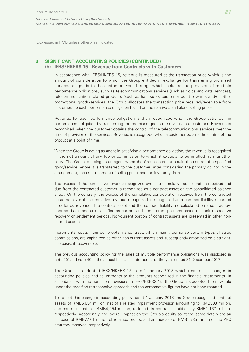### **3 SIGNIFICANT ACCOUNTING POLICIES (CONTINUED)**

### **(b) IFRS/HKFRS 15 "Revenue from Contracts with Customers"**

In accordance with IFRS/HKFRS 15, revenue is measured at the transaction price which is the amount of consideration to which the Group entitled in exchange for transferring promised services or goods to the customer. For offerings which included the provision of multiple performance obligations, such as telecommunications services (such as voice and data services), telecommunication related products (such as handsets), customer point rewards and/or other promotional goods/services, the Group allocates the transaction price received/receivable from customers to each performance obligation based on the relative stand-alone selling prices.

Revenue for each performance obligation is then recognized when the Group satisfies the performance obligation by transferring the promised goods or services to a customer. Revenue is recognized when the customer obtains the control of the telecommunications services over the time of provision of the services. Revenue is recognized when a customer obtains the control of the product at a point of time.

When the Group is acting as agent in satisfying a performance obligation, the revenue is recognized in the net amount of any fee or commission to which it expects to be entitled from another party. The Group is acting as an agent when the Group does not obtain the control of a specified good/service before it is transferred to the customer, after considering the primary obligor in the arrangement, the establishment of selling price, and the inventory risks.

The excess of the cumulative revenue recognized over the cumulative consideration received and due from the contracted customer is recognized as a contract asset on the consolidated balance sheet. On the contrary, the excess of the cumulative consideration received from the contracted customer over the cumulative revenue recognized is recognized as a contract liability recorded in deferred revenue. The contract asset and the contract liability are calculated on a contract-bycontract basis and are classified as current and non-current portions based on their respective recovery or settlement periods. Non-current portion of contract assets are presented in other noncurrent assets.

Incremental costs incurred to obtain a contract, which mainly comprise certain types of sales commissions, are capitalized as other non-current assets and subsequently amortized on a straightline basis, if recoverable.

The previous accounting policy for the sales of multiple performance obligations was disclosed in note 2(r) and note 40 in the annual financial statements for the year ended 31 December 2017.

The Group has adopted IFRS/HKFRS 15 from 1 January 2018 which resulted in changes in accounting policies and adjustments to the amounts recognized in the financial statements. In accordance with the transition provisions in IFRS/HKFRS 15, the Group has adopted the new rule under the modified retrospective approach and the comparative figures have not been restated.

To reflect this change in accounting policy, as at 1 January 2018 the Group recognized contract assets of RMB5,654 million, net of a related impairment provision amounting to RMB303 million, and contract costs of RMB4,954 million, reduced its contract liabilities by RMB1,167 million, respectively. Accordingly, the overall impact on the Group's equity as at the same date were an increase of RMB7,161 million of retained profits, and an increase of RMB1,735 million of the PRC statutory reserves, respectively.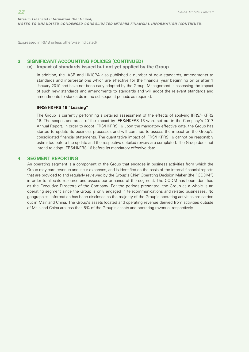# **3 SIGNIFICANT ACCOUNTING POLICIES (CONTINUED)**

# **(c) Impact of standards issued but not yet applied by the Group**

In addition, the IASB and HKICPA also published a number of new standards, amendments to standards and interpretations which are effective for the financial year beginning on or after 1 January 2019 and have not been early adopted by the Group. Management is assessing the impact of such new standards and amendments to standards and will adopt the relevant standards and amendments to standards in the subsequent periods as required.

# **IFRS/HKFRS 16 "Leasing"**

The Group is currently performing a detailed assessment of the effects of applying IFRS/HKFRS 16. The scopes and areas of the impact by IFRS/HKFRS 16 were set out in the Company's 2017 Annual Report. In order to adopt IFRS/HKFRS 16 upon the mandatory effective date, the Group has started to update its business processes and will continue to assess the impact on the Group's consolidated financial statements. The quantitative impact of IFRS/HKFRS 16 cannot be reasonably estimated before the update and the respective detailed review are completed. The Group does not intend to adopt IFRS/HKFRS 16 before its mandatory effective date.

# **4 SEGMENT REPORTING**

An operating segment is a component of the Group that engages in business activities from which the Group may earn revenue and incur expenses, and is identified on the basis of the internal financial reports that are provided to and regularly reviewed by the Group's Chief Operating Decision Maker (the "CODM") in order to allocate resource and assess performance of the segment. The CODM has been identified as the Executive Directors of the Company. For the periods presented, the Group as a whole is an operating segment since the Group is only engaged in telecommunications and related businesses. No geographical information has been disclosed as the majority of the Group's operating activities are carried out in Mainland China. The Group's assets located and operating revenue derived from activities outside of Mainland China are less than 5% of the Group's assets and operating revenue, respectively.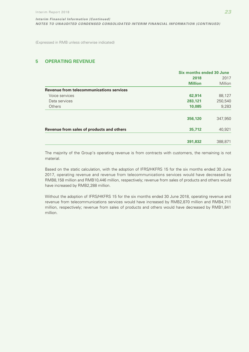# **5 OPERATING REVENUE**

|                                                 | Six months ended 30 June |                |  |
|-------------------------------------------------|--------------------------|----------------|--|
|                                                 | 2018                     | 2017           |  |
|                                                 | <b>Million</b>           | <b>Million</b> |  |
| <b>Revenue from telecommunications services</b> |                          |                |  |
| Voice services                                  | 62,914                   | 88,127         |  |
| Data services                                   | 283,121                  | 250,540        |  |
| <b>Others</b>                                   | 10,085                   | 9,283          |  |
|                                                 | 356,120                  | 347,950        |  |
| Revenue from sales of products and others       | 35,712                   | 40,921         |  |
|                                                 | 391,832                  | 388,871        |  |

The majority of the Group's operating revenue is from contracts with customers, the remaining is not material.

Based on the static calculation, with the adoption of IFRS/HKFRS 15 for the six months ended 30 June 2017, operating revenue and revenue from telecommunications services would have decreased by RMB8,158 million and RMB10,446 million, respectively; revenue from sales of products and others would have increased by RMB2,288 million.

Without the adoption of IFRS/HKFRS 15 for the six months ended 30 June 2018, operating revenue and revenue from telecommunications services would have increased by RMB2,870 million and RMB4,711 million, respectively; revenue from sales of products and others would have decreased by RMB1,841 million.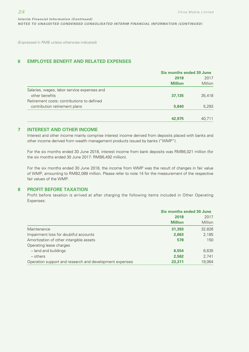# **6 EMPLOYEE BENEFIT AND RELATED EXPENSES**

|                                             | <b>Six months ended 30 June</b> |         |  |
|---------------------------------------------|---------------------------------|---------|--|
|                                             | 2018                            | 2017    |  |
|                                             | <b>Million</b>                  | Million |  |
| Salaries, wages, labor service expenses and |                                 |         |  |
| other benefits                              | 37,135                          | 35,418  |  |
| Retirement costs: contributions to defined  |                                 |         |  |
| contribution retirement plans               | 5,840                           | 5,293   |  |
|                                             | 42,975                          | 40,711  |  |
|                                             |                                 |         |  |

# **7 INTEREST AND OTHER INCOME**

Interest and other income mainly comprise interest income derived from deposits placed with banks and other income derived from wealth management products issued by banks ("WMP").

For the six months ended 30 June 2018, interest income from bank deposits was RMB6,021 million (for the six months ended 30 June 2017: RMB6,492 million).

For the six months ended 30 June 2018, the income from WMP was the result of changes in fair value of WMP, amounting to RMB2,089 million. Please refer to note 14 for the measurement of the respective fair values of the WMP.

# **8 PROFIT BEFORE TAXATION**

Profit before taxation is arrived at after charging the following items included in Other Operating Expenses:

|                                                         |                | <b>Six months ended 30 June</b> |  |  |
|---------------------------------------------------------|----------------|---------------------------------|--|--|
|                                                         | 2018           | 2017                            |  |  |
|                                                         | <b>Million</b> | <b>Million</b>                  |  |  |
| Maintenance                                             | 31,393         | 32,826                          |  |  |
| Impairment loss for doubtful accounts                   | 2,663          | 2,185                           |  |  |
| Amortization of other intangible assets                 | 578            | 150                             |  |  |
| Operating lease charges                                 |                |                                 |  |  |
| - land and buildings                                    | 6,554          | 6,635                           |  |  |
| $-$ others                                              | 2,562          | 2,741                           |  |  |
| Operation support and research and development expenses | 23,311         | 19,064                          |  |  |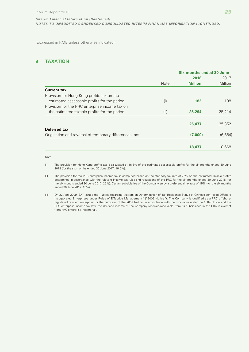### **9 TAXATION**

|                                                        |             | Six months ended 30 June |         |
|--------------------------------------------------------|-------------|--------------------------|---------|
|                                                        |             | 2018                     | 2017    |
|                                                        | <b>Note</b> | <b>Million</b>           | Million |
| <b>Current tax</b>                                     |             |                          |         |
| Provision for Hong Kong profits tax on the             |             |                          |         |
| estimated assessable profits for the period            | (i)         | 183                      | 138     |
| Provision for the PRC enterprise income tax on         |             |                          |         |
| the estimated taxable profits for the period           | (ii)        | 25,294                   | 25,214  |
|                                                        |             | 25,477                   | 25,352  |
| <b>Deferred tax</b>                                    |             |                          |         |
| Origination and reversal of temporary differences, net |             | (7,000)                  | (6,684) |
|                                                        |             | 18,477                   | 18,668  |

Note:

(i) The provision for Hong Kong profits tax is calculated at 16.5% of the estimated assessable profits for the six months ended 30 June 2018 (for the six months ended 30 June 2017: 16.5%).

(ii) The provision for the PRC enterprise income tax is computed based on the statutory tax rate of 25% on the estimated taxable profits determined in accordance with the relevant income tax rules and regulations of the PRC for the six months ended 30 June 2018 (for the six months ended 30 June 2017: 25%). Certain subsidiaries of the Company enjoy a preferential tax rate of 15% (for the six months ended 30 June 2017: 15%).

(iii) On 22 April 2009, SAT issued the "Notice regarding Matters on Determination of Tax Residence Status of Chinese-controlled Offshore Incorporated Enterprises under Rules of Effective Management" ("2009 Notice"). The Company is qualified as a PRC offshoreregistered resident enterprise for the purposes of the 2009 Notice. In accordance with the provisions under the 2009 Notice and the PRC enterprise income tax law, the dividend income of the Company received/receivable from its subsidiaries in the PRC is exempt from PRC enterprise income tax.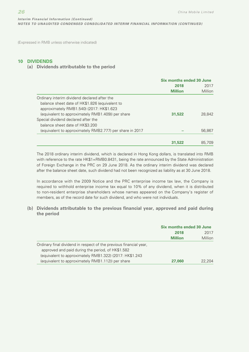# **10 DIVIDENDS**

# **(a) Dividends attributable to the period**

|                                                          | Six months ended 30 June |         |
|----------------------------------------------------------|--------------------------|---------|
|                                                          | 2018                     | 2017    |
|                                                          | <b>Million</b>           | Million |
| Ordinary interim dividend declared after the             |                          |         |
| balance sheet date of HK\$1.826 (equivalent to           |                          |         |
| approximately RMB1.540) (2017: HK\$1.623                 |                          |         |
| (equivalent to approximately RMB1.409)) per share        | 31,522                   | 28.842  |
| Special dividend declared after the                      |                          |         |
| balance sheet date of HK\$3.200                          |                          |         |
| (equivalent to approximately RMB2.777) per share in 2017 |                          | 56.867  |
|                                                          | 31,522                   | 85.709  |

The 2018 ordinary interim dividend, which is declared in Hong Kong dollars, is translated into RMB with reference to the rate HK\$1=RMB0.8431, being the rate announced by the State Administration of Foreign Exchange in the PRC on 29 June 2018. As the ordinary interim dividend was declared after the balance sheet date, such dividend had not been recognized as liability as at 30 June 2018.

In accordance with the 2009 Notice and the PRC enterprise income tax law, the Company is required to withhold enterprise income tax equal to 10% of any dividend, when it is distributed to non-resident enterprise shareholders whose names appeared on the Company's register of members, as of the record date for such dividend, and who were not individuals.

**(b) Dividends attributable to the previous financial year, approved and paid during the period**

|                                                                    | Six months ended 30 June |                |
|--------------------------------------------------------------------|--------------------------|----------------|
|                                                                    | 2018                     | 2017           |
|                                                                    | <b>Million</b>           | <b>Million</b> |
| Ordinary final dividend in respect of the previous financial year, |                          |                |
| approved and paid during the period, of HK\$1.582                  |                          |                |
| (equivalent to approximately RMB1.322) (2017: HK\$1.243            |                          |                |
| (equivalent to approximately RMB1.112)) per share                  | 27,060                   | 22.204         |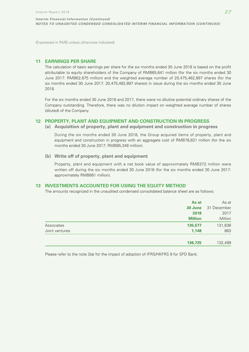# **11 EARNINGS PER SHARE**

The calculation of basic earnings per share for the six months ended 30 June 2018 is based on the profit attributable to equity shareholders of the Company of RMB65,641 million (for the six months ended 30 June 2017: RMB62,675 million) and the weighted average number of 20,475,482,897 shares (for the six months ended 30 June 2017: 20,475,482,897 shares) in issue during the six months ended 30 June 2018.

For the six months ended 30 June 2018 and 2017, there were no dilutive potential ordinary shares of the Company outstanding. Therefore, there was no dilution impact on weighted average number of shares (diluted) of the Company.

# **12 PROPERTY, PLANT AND EQUIPMENT AND CONSTRUCTION IN PROGRESS**

### **(a) Acquisition of property, plant and equipment and construction in progress**

During the six months ended 30 June 2018, the Group acquired items of property, plant and equipment and construction in progress with an aggregate cost of RMB78,831 million (for the six months ended 30 June 2017: RMB85,348 million).

#### **(b) Write off of property, plant and equipment**

Property, plant and equipment with a net book value of approximately RMB372 million were written off during the six months ended 30 June 2018 (for the six months ended 30 June 2017: approximately RMB661 million).

# **13 INVESTMENTS ACCOUNTED FOR USING THE EQUITY METHOD**

The amounts recognized in the unaudited condensed consolidated balance sheet are as follows:

|                   | As at          | As at       |
|-------------------|----------------|-------------|
|                   | 30 June        | 31 December |
|                   | 2018           | 2017        |
|                   | <b>Million</b> | Million     |
| <b>Associates</b> | 135,577        | 131,636     |
| Joint ventures    | 1,148          | 863         |
|                   | 136,725        | 132,499     |

Please refer to the note 3(a) for the impact of adoption of IFRS/HKFRS 9 for SPD Bank.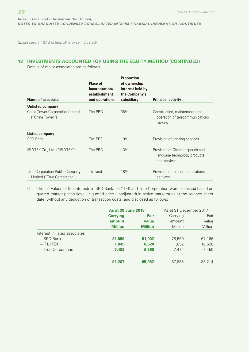# **13 INVESTMENTS ACCOUNTED FOR USING THE EQUITY METHOD (CONTINUED)**

Details of major associates are as follows:

| Name of associate                                               | Place of<br>incorporation/<br>establishment<br>and operations | <b>Proportion</b><br>of ownership<br>interest held by<br>the Company's<br>subsidiary | <b>Principal activity</b>                                                       |
|-----------------------------------------------------------------|---------------------------------------------------------------|--------------------------------------------------------------------------------------|---------------------------------------------------------------------------------|
| <b>Unlisted company</b>                                         |                                                               |                                                                                      |                                                                                 |
| China Tower Corporation Limited<br>("China Tower")              | The PRC                                                       | 38%                                                                                  | Construction, maintenance and<br>operation of telecommunications<br>towers      |
| <b>Listed company</b>                                           |                                                               |                                                                                      |                                                                                 |
| <b>SPD Bank</b>                                                 | The PRC                                                       | 18%                                                                                  | Provision of banking services                                                   |
| IFLYTEK Co., Ltd. ("IFLYTEK")                                   | The PRC                                                       | 13%                                                                                  | Provision of Chinese speech and<br>language technology products<br>and services |
| True Corporation Public Company<br>Limited ("True Corporation") | Thailand                                                      | 18%                                                                                  | Provision of telecommunications<br>services                                     |

(i) The fair values of the interests in SPD Bank, IFLYTEK and True Corporation were assessed based on quoted market prices (level 1: quoted price (unadjusted) in active markets) as at the balance sheet date, without any deduction of transaction costs, and disclosed as follows:

|                               | <b>As at 30 June 2018</b> |                | As at 31 December 2017 |         |
|-------------------------------|---------------------------|----------------|------------------------|---------|
|                               | <b>Carrying</b>           | <b>Fair</b>    | Carrying               | Fair    |
|                               | amount                    | value          | amount                 | value   |
|                               | <b>Million</b>            | <b>Million</b> | <b>Million</b>         | Million |
| Interest in listed associates |                           |                |                        |         |
| - SPD Bank                    | 81,959                    | 51,002         | 78,559                 | 67,166  |
| $-$ IFLYTEK                   | 1.845                     | 8,620          | 1,852                  | 10,598  |
| - True Corporation            | 7,403                     | 6,360          | 7,472                  | 7,450   |
|                               | 91,207                    | 65,982         | 87,883                 | 85,214  |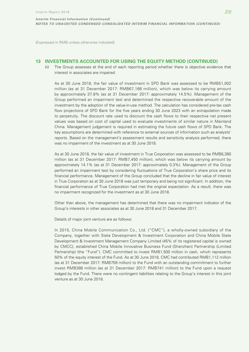# **13 INVESTMENTS ACCOUNTED FOR USING THE EQUITY METHOD (CONTINUED)**

(ii) The Group assesses at the end of each reporting period whether there is objective evidence that interest in associates are impaired.

As at 30 June 2018, the fair value of investment in SPD Bank was assessed to be RMB51,002 million (as at 31 December 2017: RMB67,166 million), which was below its carrying amount by approximately 37.8% (as at 31 December 2017: approximately 14.5%). Management of the Group performed an impairment test and determined the respective recoverable amount of the investment by the adoption of the value-in-use method. The calculation has considered pre-tax cash flow projections of SPD Bank for the five years ending 30 June 2023 with an extrapolation made to perpetuity. The discount rate used to discount the cash flows to their respective net present values was based on cost of capital used to evaluate investments of similar nature in Mainland China. Management judgement is required in estimating the future cash flows of SPD Bank. The key assumptions are determined with reference to external sources of information such as analysts' reports. Based on the management's assessment results and sensitivity analysis performed, there was no impairment of the investment as at 30 June 2018.

As at 30 June 2018, the fair value of investment in True Corporation was assessed to be RMB6,360 million (as at 31 December 2017: RMB7,450 million), which was below its carrying amount by approximately 14.1% (as at 31 December 2017: approximately 0.3%). Management of the Group performed an impairment test by considering fluctuations of True Corporation's share price and its financial performance. Management of the Group concluded that the decline in fair value of interest in True Corporation as at 30 June 2018 was just temporary and being not significant. In addition, the financial performance of True Corporation had met the original expectation. As a result, there was no impairment recognized for the investment as at 30 June 2018.

Other than above, the management has determined that there was no impairment indicator of the Group's interests in other associates as at 30 June 2018 and 31 December 2017.

Details of major joint venture are as follows:

In 2015, China Mobile Communication Co., Ltd. ("CMC"), a wholly-owned subsidiary of the Company, together with State Development & Investment Corporation and China Mobile State Development & Investment Management Company Limited (45% of its registered capital is owned by CMCC), established China Mobile Innovative Business Fund (Shenzhen) Partnership (Limited Partnership) (the "Fund"). CMC committed to invest RMB1,500 million in cash, which represents 50% of the equity interest of the Fund. As at 30 June 2018, CMC had contributed RMB1,112 million (as at 31 December 2017: RMB759 million) to the Fund with an outstanding commitment to further invest RMB388 million (as at 31 December 2017: RMB741 million) to the Fund upon a request lodged by the Fund. There were no contingent liabilities relating to the Group's interest in this joint venture as at 30 June 2018.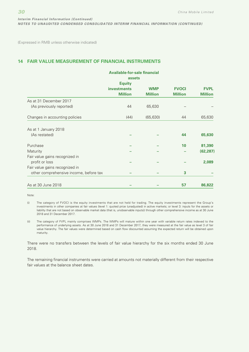# **14 FAIR VALUE MEASUREMENT OF FINANCIAL INSTRUMENTS**

|                                        | <b>Available-for-sale financial</b><br>assets |                              |                                |                               |
|----------------------------------------|-----------------------------------------------|------------------------------|--------------------------------|-------------------------------|
|                                        | <b>Equity</b>                                 |                              |                                |                               |
|                                        | <b>investments</b><br><b>Million</b>          | <b>WMP</b><br><b>Million</b> | <b>FVOCI</b><br><b>Million</b> | <b>FVPL</b><br><b>Million</b> |
| As at 31 December 2017                 |                                               |                              |                                |                               |
| (As previously reported)               | 44                                            | 65,630                       |                                |                               |
| Changes in accounting policies         | (44)                                          | (65, 630)                    | 44                             | 65,630                        |
| As at 1 January 2018                   |                                               |                              |                                |                               |
| (As restated)                          |                                               |                              | 44                             | 65,630                        |
| Purchase                               |                                               |                              | 10                             | 81,390                        |
| Maturity                               |                                               |                              |                                | (62, 287)                     |
| Fair value gains recognized in         |                                               |                              |                                |                               |
| profit or loss                         |                                               |                              |                                | 2,089                         |
| Fair value gains recognized in         |                                               |                              |                                |                               |
| other comprehensive income, before tax |                                               |                              | 3                              |                               |
| As at 30 June 2018                     |                                               |                              | 57                             | 86,822                        |

Note:

(i) The category of FVOCI is the equity investments that are not held for trading. The equity investments represent the Group's investments in other companies at fair values (level 1: quoted price (unadjusted) in active markets; or level 3: inputs for the assets or liability that are not based on observable market data (that is, unobservable inputs)) through other comprehensive income as at 30 June 2018 and 31 December 2017.

(ii) The category of FVPL mainly comprises WMPs. The WMPs will mature within one year with variable return rates indexed to the performance of underlying assets. As at 30 June 2018 and 31 December 2017, they were measured at the fair value as level 3 of fair value hierarchy. The fair values were determined based on cash flow discounted assuming the expected return will be obtained upon maturity.

There were no transfers between the levels of fair value hierarchy for the six months ended 30 June 2018.

The remaining financial instruments were carried at amounts not materially different from their respective fair values at the balance sheet dates.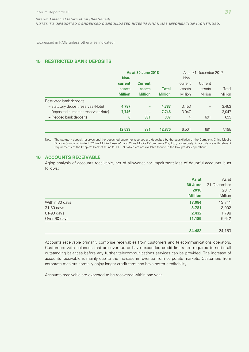# **15 RESTRICTED BANK DEPOSITS**

|                                      | As at 30 June 2018 |                |                | As at 31 December 2017 |         |         |
|--------------------------------------|--------------------|----------------|----------------|------------------------|---------|---------|
|                                      | Non-               |                |                | Non-                   |         |         |
|                                      | current            | <b>Current</b> |                | current                | Current |         |
|                                      | assets             | assets         | <b>Total</b>   | assets                 | assets  | Total   |
|                                      | <b>Million</b>     | <b>Million</b> | <b>Million</b> | Million                | Million | Million |
| Restricted bank deposits             |                    |                |                |                        |         |         |
| - Statutory deposit reserves (Note)  | 4,787              | ۰              | 4.787          | 3,453                  |         | 3,453   |
| - Deposited customer reserves (Note) | 7,746              | -              | 7.746          | 3,047                  | -       | 3,047   |
| - Pledged bank deposits              | 6                  | 331            | 337            | 4                      | 691     | 695     |
|                                      | 12,539             | 331            | 12,870         | 6.504                  | 691     | 7,195   |

Note: The statutory deposit reserves and the deposited customer reserves are deposited by the subsidiaries of the Company, China Mobile Finance Company Limited ("China Mobile Finance") and China Mobile E-Commerce Co., Ltd., respectively, in accordance with relevant requirements of the People's Bank of China ("PBOC"), which are not available for use in the Group's daily operations.

# **16 ACCOUNTS RECEIVABLE**

Aging analysis of accounts receivable, net of allowance for impairment loss of doubtful accounts is as follows:

|                | As at          | As at       |
|----------------|----------------|-------------|
|                | 30 June        | 31 December |
|                | 2018           | 2017        |
|                | <b>Million</b> | Million     |
| Within 30 days | 17,084         | 13,711      |
| 31-60 days     | 3,781          | 3,002       |
| 61-90 days     | 2,432          | 1,798       |
| Over 90 days   | 11,185         | 5,642       |
|                | 34,482         | 24,153      |

Accounts receivable primarily comprise receivables from customers and telecommunications operators. Customers with balances that are overdue or have exceeded credit limits are required to settle all outstanding balances before any further telecommunications services can be provided. The increase of accounts receivable is mainly due to the increase in revenue from corporate markets. Customers from corporate markets normally enjoy longer credit term and have better creditability.

Accounts receivable are expected to be recovered within one year.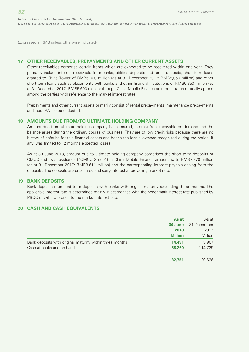# **17 OTHER RECEIVABLES, PREPAYMENTS AND OTHER CURRENT ASSETS**

Other receivables comprise certain items which are expected to be recovered within one year. They primarily include interest receivable from banks, utilities deposits and rental deposits, short-term loans granted to China Tower of RMB6,000 million (as at 31 December 2017: RMB8,050 million) and other short-term loans such as placements with banks and other financial institutions of RMB6,850 million (as at 31 December 2017: RMB5,600 million) through China Mobile Finance at interest rates mutually agreed among the parties with reference to the market interest rates.

Prepayments and other current assets primarily consist of rental prepayments, maintenance prepayments and input VAT to be deducted.

# **18 AMOUNTS DUE FROM/TO ULTIMATE HOLDING COMPANY**

Amount due from ultimate holding company is unsecured, interest free, repayable on demand and the balance arises during the ordinary course of business. They are of low credit risks because there are no history of defaults for this financial assets and hence the loss allowance recognized during the period, if any, was limited to 12 months expected losses.

As at 30 June 2018, amount due to ultimate holding company comprises the short-term deposits of CMCC and its subsidiaries ("CMCC Group") in China Mobile Finance amounting to RMB7,870 million (as at 31 December 2017: RMB8,611 million) and the corresponding interest payable arising from the deposits. The deposits are unsecured and carry interest at prevailing market rate.

# **19 BANK DEPOSITS**

Bank deposits represent term deposits with banks with original maturity exceeding three months. The applicable interest rate is determined mainly in accordance with the benchmark interest rate published by PBOC or with reference to the market interest rate.

# **20 CASH AND CASH EQUIVALENTS**

|                                                          | As at          | As at       |
|----------------------------------------------------------|----------------|-------------|
|                                                          | 30 June        | 31 December |
|                                                          | 2018           | 2017        |
|                                                          | <b>Million</b> | Million     |
| Bank deposits with original maturity within three months | 14,491         | 5,907       |
| Cash at banks and on hand                                | 68,260         | 114,729     |
|                                                          | 82,751         | 120,636     |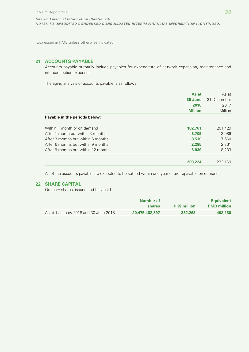*Interim Financial Information (Continued) NOTES TO UNAUDITED CONDENSED CONSOLIDATED INTERIM FINANCIAL INFORMATION (CONTINUED)*

(Expressed in RMB unless otherwise indicated)

# **21 ACCOUNTS PAYABLE**

Accounts payable primarily include payables for expenditure of network expansion, maintenance and interconnection expenses.

The aging analysis of accounts payable is as follows:

|                                     | As at          | As at       |
|-------------------------------------|----------------|-------------|
|                                     | 30 June        | 31 December |
|                                     | 2018           | 2017        |
|                                     | <b>Million</b> | Million     |
| Payable in the periods below:       |                |             |
| Within 1 month or on demand         | 182,761        | 201,429     |
| After 1 month but within 3 months   | 8,709          | 13,086      |
| After 3 months but within 6 months  | 8,530          | 7,660       |
| After 6 months but within 9 months  | 2,285          | 2,761       |
| After 9 months but within 12 months | 6,939          | 8,233       |
|                                     | 209,224        | 233,169     |

All of the accounts payable are expected to be settled within one year or are repayable on demand.

#### **22 SHARE CAPITAL**

Ordinary shares, issued and fully paid:

|                                       | Number of      |                     | <b>Equivalent</b>  |
|---------------------------------------|----------------|---------------------|--------------------|
|                                       | <b>shares</b>  | <b>HK\$</b> million | <b>RMB million</b> |
| As at 1 January 2018 and 30 June 2018 | 20,475,482,897 | 382,263             | 402,130            |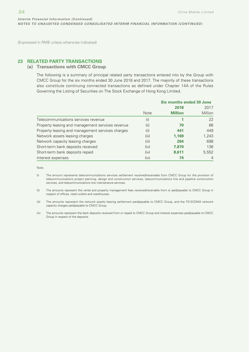# **23 RELATED PARTY TRANSACTIONS**

# **(a) Transactions with CMCC Group**

The following is a summary of principal related party transactions entered into by the Group with CMCC Group for the six months ended 30 June 2018 and 2017. The majority of these transactions also constitute continuing connected transactions as defined under Chapter 14A of the Rules Governing the Listing of Securities on The Stock Exchange of Hong Kong Limited.

|                                                  |             | <b>Six months ended 30 June</b> |                |
|--------------------------------------------------|-------------|---------------------------------|----------------|
|                                                  |             | 2018                            | 2017           |
|                                                  | <b>Note</b> | <b>Million</b>                  | Million        |
| Telecommunications services revenue              | (i)         |                                 | 22             |
| Property leasing and management services revenue | (ii)        | 70                              | 86             |
| Property leasing and management services charges | (ii)        | 441                             | 449            |
| Network assets leasing charges                   | (iii)       | 1.169                           | 1,243          |
| Network capacity leasing charges                 | (iii)       | 264                             | 698            |
| Short-term bank deposits received                | (iv)        | 7.870                           | 136            |
| Short-term bank deposits repaid                  | (iv)        | 8,611                           | 5,552          |
| Interest expenses                                | (iv)        | 74                              | $\overline{4}$ |

Note:

(i) The amount represents telecommunications services settlement received/receivable from CMCC Group for the provision of telecommunications project planning, design and construction services, telecommunications line and pipeline construction services, and telecommunications line maintenance services.

(ii) The amounts represent the rental and property management fees received/receivable from or paid/payable to CMCC Group in respect of offices, retail outlets and warehouses.

(iii) The amounts represent the network assets leasing settlement paid/payable to CMCC Group, and the TD-SCDMA network capacity charges paid/payable to CMCC Group.

(iv) The amounts represent the bank deposits received from or repaid to CMCC Group and interest expenses paid/payable to CMCC Group in respect of the deposits.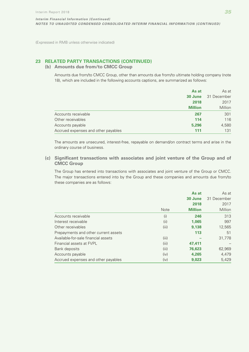# **23 RELATED PARTY TRANSACTIONS (CONTINUED)**

# **(b) Amounts due from/to CMCC Group**

Amounts due from/to CMCC Group, other than amounts due from/to ultimate holding company (note 18), which are included in the following accounts captions, are summarized as follows:

|                                     | As at          |             |
|-------------------------------------|----------------|-------------|
|                                     | 30 June        | 31 December |
|                                     | 2018           | 2017        |
|                                     | <b>Million</b> | Million     |
| Accounts receivable                 | 267            | 301         |
| Other receivables                   | 114            | 116         |
| Accounts payable                    | 5,296          | 4,580       |
| Accrued expenses and other payables | 111            | 131         |

The amounts are unsecured, interest-free, repayable on demand/on contract terms and arise in the ordinary course of business.

# **(c) Significant transactions with associates and joint venture of the Group and of CMCC Group**

The Group has entered into transactions with associates and joint venture of the Group or CMCC. The major transactions entered into by the Group and these companies and amounts due from/to these companies are as follows:

|                                      | As at       |                | As at          |  |
|--------------------------------------|-------------|----------------|----------------|--|
|                                      | 30 June     | 31 December    |                |  |
|                                      |             | 2018           | 2017           |  |
|                                      | <b>Note</b> | <b>Million</b> | <b>Million</b> |  |
| Accounts receivable                  | (i)         | 246            | 313            |  |
| Interest receivable                  | (ii)        | 1,065          | 997            |  |
| Other receivables                    | (iii)       | 9,138          | 12,565         |  |
| Prepayments and other current assets |             | 113            | 51             |  |
| Available-for-sale financial assets  | (iii)       |                | 31.778         |  |
| Financial assets at FVPL             | (iii)       | 47,411         |                |  |
| <b>Bank deposits</b>                 | (iii)       | 76,623         | 62,969         |  |
| Accounts payable                     | (iv)        | 4,265          | 4,479          |  |
| Accrued expenses and other payables  | (iv)        | 9,023          | 5,429          |  |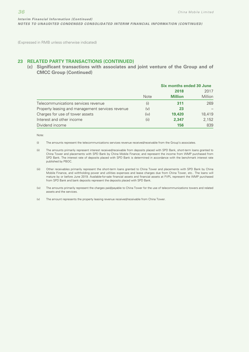#### *Interim Financial Information (Continued) NOTES TO UNAUDITED CONDENSED CONSOLIDATED INTERIM FINANCIAL INFORMATION (CONTINUED)*

(Expressed in RMB unless otherwise indicated)

# **23 RELATED PARTY TRANSACTIONS (CONTINUED)**

# **(c) Significant transactions with associates and joint venture of the Group and of CMCC Group (Continued)**

|                                                  |             | <b>Six months ended 30 June</b> |                |
|--------------------------------------------------|-------------|---------------------------------|----------------|
|                                                  |             | 2018                            | 2017           |
|                                                  | <b>Note</b> | <b>Million</b>                  | <b>Million</b> |
| Telecommunications services revenue              | (i)         | 311                             | 269            |
| Property leasing and management services revenue | (v)         | 23                              |                |
| Charges for use of tower assets                  | (iv)        | 19,420                          | 18.419         |
| Interest and other income                        | (ii)        | 2,347                           | 2.152          |
| Dividend income                                  |             | 156                             | 839            |

Note:

(i) The amounts represent the telecommunications services revenue received/receivable from the Group's associates.

- (ii) The amounts primarily represent interest received/receivable from deposits placed with SPD Bank, short-term loans granted to China Tower and placements with SPD Bank by China Mobile Finance; and represent the income from WMP purchased from SPD Bank. The interest rate of deposits placed with SPD Bank is determined in accordance with the benchmark interest rate published by PBOC.
- (iii) Other receivables primarily represent the short-term loans granted to China Tower and placements with SPD Bank by China Mobile Finance, and withholding power and utilities expenses and lease charges due from China Tower, etc.. The loans will mature by or before June 2019. Available-for-sale financial assets and financial assets at FVPL represent the WMP purchased from SPD Bank and bank deposits represent the deposits placed with SPD Bank.
- (iv) The amounts primarily represent the charges paid/payable to China Tower for the use of telecommunications towers and related assets and the services.

(v) The amount represents the property leasing revenue received/receivable from China Tower.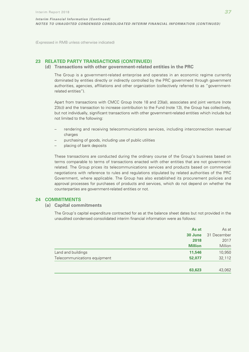# **23 RELATED PARTY TRANSACTIONS (CONTINUED)**

#### **(d) Transactions with other government-related entities in the PRC**

The Group is a government-related enterprise and operates in an economic regime currently dominated by entities directly or indirectly controlled by the PRC government through government authorities, agencies, affiliations and other organization (collectively referred to as "governmentrelated entities").

Apart from transactions with CMCC Group (note 18 and 23(a)), associates and joint venture (note 23(c)) and the transaction to increase contribution to the Fund (note 13), the Group has collectively, but not individually, significant transactions with other government-related entities which include but not limited to the following:

- rendering and receiving telecommunications services, including interconnection revenue/ charges
- purchasing of goods, including use of public utilities
- placing of bank deposits

These transactions are conducted during the ordinary course of the Group's business based on terms comparable to terms of transactions enacted with other entities that are not governmentrelated. The Group prices its telecommunications services and products based on commercial negotiations with reference to rules and regulations stipulated by related authorities of the PRC Government, where applicable. The Group has also established its procurement policies and approval processes for purchases of products and services, which do not depend on whether the counterparties are government-related entities or not.

# **24 COMMITMENTS**

#### **(a) Capital commitments**

The Group's capital expenditure contracted for as at the balance sheet dates but not provided in the unaudited condensed consolidated interim financial information were as follows:

|                              | As at          | As at       |
|------------------------------|----------------|-------------|
|                              | 30 June        | 31 December |
|                              | 2018           | 2017        |
|                              | <b>Million</b> | Million     |
| Land and buildings           | 11,546         | 10,950      |
| Telecommunications equipment | 52,077         | 32,112      |
|                              | 63,623         | 43,062      |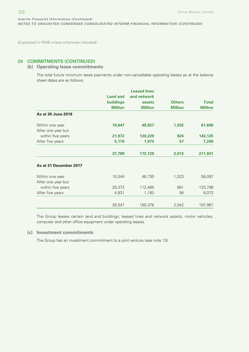*NOTES TO UNAUDITED CONDENSED CONSOLIDATED INTERIM FINANCIAL INFORMATION (CONTINUED)*

(Expressed in RMB unless otherwise indicated)

# **24 COMMITMENTS (CONTINUED)**

# **(b) Operating lease commitments**

The total future minimum lease payments under non-cancellable operating leases as at the balance sheet dates are as follows:

|                        |                 | <b>Leased lines</b> |                |                |
|------------------------|-----------------|---------------------|----------------|----------------|
|                        | <b>Land and</b> | and network         |                |                |
|                        | buildings       | assets              | <b>Others</b>  | <b>Total</b>   |
|                        | <b>Million</b>  | <b>Million</b>      | <b>Million</b> | <b>Million</b> |
| As at 30 June 2018     |                 |                     |                |                |
| Within one year        | 10,647          | 49,927              | 1,032          | 61,606         |
| After one year but     |                 |                     |                |                |
| within five years      | 21,972          | 120,229             | 924            | 143,125        |
| After five years       | 5,170           | 1,973               | 57             | 7,200          |
|                        | 37,789          | 172,129             | 2,013          | 211,931        |
| As at 31 December 2017 |                 |                     |                |                |
| Within one year        | 10,344          | 46,730              | 1,023          | 58,097         |
| After one year but     |                 |                     |                |                |
| within five years      | 20,372          | 112,465             | 961            | 133,798        |
| After five years       | 4,831           | 1,183               | 58             | 6,072          |
|                        | 35,547          | 160,378             | 2,042          | 197,967        |

The Group leases certain land and buildings, leased lines and network assets, motor vehicles, computer and other office equipment under operating leases.

# **(c) Investment commitments**

The Group has an investment commitment to a joint venture (see note 13).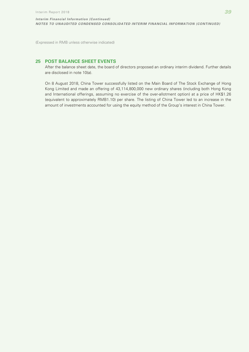# **25 POST BALANCE SHEET EVENTS**

After the balance sheet date, the board of directors proposed an ordinary interim dividend. Further details are disclosed in note 10(a).

On 8 August 2018, China Tower successfully listed on the Main Board of The Stock Exchange of Hong Kong Limited and made an offering of 43,114,800,000 new ordinary shares (including both Hong Kong and International offerings, assuming no exercise of the over-allotment option) at a price of HK\$1.26 (equivalent to approximately RMB1.10) per share. The listing of China Tower led to an increase in the amount of investments accounted for using the equity method of the Group's interest in China Tower.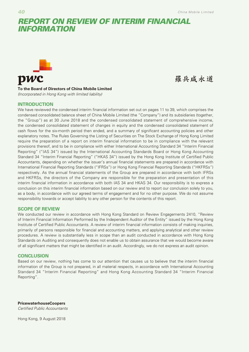# *REPORT ON REVIEW OF INTERIM FINANCIAL INFORMATION*



羅兵咸永道

# **To the Board of Directors of China Mobile Limited**

(Incorporated in Hong Kong with limited liability)

#### **INTRODUCTION**

We have reviewed the condensed interim financial information set out on pages 11 to 39, which comprises the condensed consolidated balance sheet of China Mobile Limited (the "Company") and its subsidiaries (together, the "Group") as at 30 June 2018 and the condensed consolidated statement of comprehensive income, the condensed consolidated statement of changes in equity and the condensed consolidated statement of cash flows for the six-month period then ended, and a summary of significant accounting policies and other explanatory notes. The Rules Governing the Listing of Securities on The Stock Exchange of Hong Kong Limited require the preparation of a report on interim financial information to be in compliance with the relevant provisions thereof, and to be in compliance with either International Accounting Standard 34 "Interim Financial Reporting" ("IAS 34") issued by the International Accounting Standards Board or Hong Kong Accounting Standard 34 "Interim Financial Reporting" ("HKAS 34") issued by the Hong Kong Institute of Certified Public Accountants, depending on whether the issuer's annual financial statements are prepared in accordance with International Financial Reporting Standards ("IFRSs") or Hong Kong Financial Reporting Standards ("HKFRSs") respectively. As the annual financial statements of the Group are prepared in accordance with both IFRSs and HKFRSs, the directors of the Company are responsible for the preparation and presentation of this interim financial information in accordance with both IAS 34 and HKAS 34. Our responsibility is to express a conclusion on this interim financial information based on our review and to report our conclusion solely to you, as a body, in accordance with our agreed terms of engagement and for no other purpose. We do not assume responsibility towards or accept liability to any other person for the contents of this report.

#### **SCOPE OF REVIEW**

We conducted our review in accordance with Hong Kong Standard on Review Engagements 2410, "Review of Interim Financial Information Performed by the Independent Auditor of the Entity" issued by the Hong Kong Institute of Certified Public Accountants. A review of interim financial information consists of making inquiries, primarily of persons responsible for financial and accounting matters, and applying analytical and other review procedures. A review is substantially less in scope than an audit conducted in accordance with Hong Kong Standards on Auditing and consequently does not enable us to obtain assurance that we would become aware of all significant matters that might be identified in an audit. Accordingly, we do not express an audit opinion.

### **CONCLUSION**

Based on our review, nothing has come to our attention that causes us to believe that the interim financial information of the Group is not prepared, in all material respects, in accordance with International Accounting Standard 34 "Interim Financial Reporting" and Hong Kong Accounting Standard 34 "Interim Financial Reporting".

**PricewaterhouseCoopers** Certified Public Accountants

Hong Kong, 9 August 2018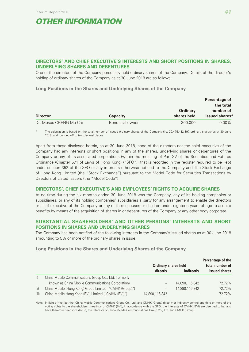# *OTHER INFORMATION*

# **DIRECTORS' AND CHIEF EXECUTIVE'S INTERESTS AND SHORT POSITIONS IN SHARES, UNDERLYING SHARES AND DEBENTURES**

One of the directors of the Company personally held ordinary shares of the Company. Details of the director's holding of ordinary shares of the Company as at 30 June 2018 are as follows:

#### **Long Positions in the Shares and Underlying Shares of the Company**

|                        |                  |             | <b>Percentage of</b> |  |
|------------------------|------------------|-------------|----------------------|--|
|                        |                  |             | the total            |  |
|                        |                  | Ordinary    | number of            |  |
| <b>Director</b>        | <b>Capacity</b>  | shares held | issued shares*       |  |
| Dr. Moses CHENG Mo Chi | Beneficial owner | 300,000     | $0.00\%$             |  |

The calculation is based on the total number of issued ordinary shares of the Company (i.e. 20,475,482,897 ordinary shares) as at 30 June 2018, and rounded off to two decimal places.

Apart from those disclosed herein, as at 30 June 2018, none of the directors nor the chief executive of the Company had any interests or short positions in any of the shares, underlying shares or debentures of the Company or any of its associated corporations (within the meaning of Part XV of the Securities and Futures Ordinance (Chapter 571 of Laws of Hong Kong) ("SFO")) that is recorded in the register required to be kept under section 352 of the SFO or any interests otherwise notified to the Company and The Stock Exchange of Hong Kong Limited (the "Stock Exchange") pursuant to the Model Code for Securities Transactions by Directors of Listed Issuers (the "Model Code").

#### **DIRECTORS', CHIEF EXECUTIVE'S AND EMPLOYEES' RIGHTS TO ACQUIRE SHARES**

At no time during the six months ended 30 June 2018 was the Company, any of its holding companies or subsidiaries, or any of its holding companies' subsidiaries a party for any arrangement to enable the directors or chief executive of the Company or any of their spouses or children under eighteen years of age to acquire benefits by means of the acquisition of shares in or debentures of the Company or any other body corporate.

# **SUBSTANTIAL SHAREHOLDERS' AND OTHER PERSONS' INTERESTS AND SHORT POSITIONS IN SHARES AND UNDERLYING SHARES**

The Company has been notified of the following interests in the Company's issued shares as at 30 June 2018 amounting to 5% or more of the ordinary shares in issue:

# **Long Positions in the Shares and Underlying Shares of the Company**

|       |                                                         | <b>Ordinary shares held</b> |                | Percentage of the<br>total number of |  |
|-------|---------------------------------------------------------|-----------------------------|----------------|--------------------------------------|--|
|       |                                                         | directly                    | indirectly     | issued shares                        |  |
| (i)   | China Mobile Communications Group Co., Ltd. (formerly   |                             |                |                                      |  |
|       | known as China Mobile Communications Corporation)       | -                           | 14,890,116,842 | 72.72%                               |  |
| (ii)  | China Mobile (Hong Kong) Group Limited ("CMHK (Group)") |                             | 14.890.116.842 | 72.72%                               |  |
| (iii) | China Mobile Hong Kong (BVI) Limited ("CMHK (BVI)")     | 14,890,116,842              |                | 72.72%                               |  |

Note: In light of the fact that China Mobile Communications Group Co., Ltd. and CMHK (Group) directly or indirectly control one-third or more of the voting rights in the shareholders' meetings of CMHK (BVI), in accordance with the SFO, the interests of CMHK (BVI) are deemed to be, and have therefore been included in, the interests of China Mobile Communications Group Co., Ltd. and CMHK (Group).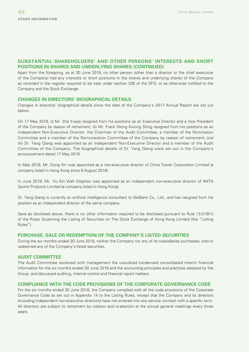# **SUBSTANTIAL SHAREHOLDERS' AND OTHER PERSONS' INTERESTS AND SHORT POSITIONS IN SHARES AND UNDERLYING SHARES (CONTINUED)**

Apart from the foregoing, as at 30 June 2018, no other person (other than a director or the chief executive of the Company) had any interests or short positions in the shares and underlying shares of the Company as recorded in the register required to be kept under section 336 of the SFO, or as otherwise notified to the Company and the Stock Exchange.

# **CHANGES IN DIRECTORS' BIOGRAPHICAL DETAILS**

Changes in directors' biographical details since the date of the Company's 2017 Annual Report are set out below:

On 17 May 2018, (i) Mr. Sha Yuejia resigned from his positions as an Executive Director and a Vice President of the Company by reason of retirement; (ii) Mr. Frank Wong Kwong Shing resigned from his positions as an Independent Non-Executive Director, the Chairman of the Audit Committee, a member of the Nomination Committee and a member of the Remuneration Committee of the Company by reason of retirement; and (iii) Dr. Yang Qiang was appointed as an Independent Non-Executive Director and a member of the Audit Committee of the Company. The biographical details of Dr. Yang Qiang were set out in the Company's announcement dated 17 May 2018.

In May 2018, Mr. Dong Xin was appointed as a non-executive director of China Tower Corporation Limited (a company listed in Hong Kong since 8 August 2018).

In June 2018, Mr. Yiu Kin Wah Stephen was appointed as an independent non-executive director of ANTA Sports Products Limited (a company listed in Hong Kong).

Dr. Yang Qiang is currently an artificial intelligence consultant to WeBank Co., Ltd., and has resigned from his position as an independent director of the same company.

Save as disclosed above, there is no other information required to be disclosed pursuant to Rule 13.51B(1) of the Rules Governing the Listing of Securities on The Stock Exchange of Hong Kong Limited (the "Listing Rules").

# **PURCHASE, SALE OR REDEMPTION OF THE COMPANY'S LISTED SECURITIES**

During the six months ended 30 June 2018, neither the Company nor any of its subsidiaries purchased, sold or redeemed any of the Company's listed securities.

# **AUDIT COMMITTEE**

The Audit Committee reviewed with management the unaudited condensed consolidated interim financial information for the six months ended 30 June 2018 and the accounting principles and practices adopted by the Group, and discussed auditing, internal control and financial report matters.

# **COMPLIANCE WITH THE CODE PROVISIONS OF THE CORPORATE GOVERNANCE CODE**

For the six months ended 30 June 2018, the Company complied with all the code provisions of the Corporate Governance Code as set out in Appendix 14 to the Listing Rules, except that the Company and its directors (including independent non-executive directors) have not entered into any service contract with a specific term. All directors are subject to retirement by rotation and re-election at the annual general meetings every three years.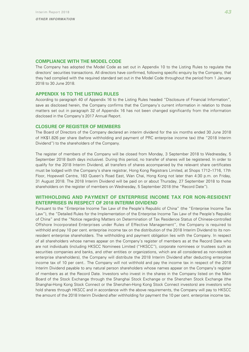# **COMPLIANCE WITH THE MODEL CODE**

The Company has adopted the Model Code as set out in Appendix 10 to the Listing Rules to regulate the directors' securities transactions. All directors have confirmed, following specific enquiry by the Company, that they had complied with the required standard set out in the Model Code throughout the period from 1 January 2018 to 30 June 2018.

# **APPENDIX 16 TO THE LISTING RULES**

According to paragraph 40 of Appendix 16 to the Listing Rules headed "Disclosure of Financial Information", save as disclosed herein, the Company confirms that the Company's current information in relation to those matters set out in paragraph 32 of Appendix 16 has not been changed significantly from the information disclosed in the Company's 2017 Annual Report.

#### **CLOSURE OF REGISTER OF MEMBERS**

The Board of Directors of the Company declared an interim dividend for the six months ended 30 June 2018 of HK\$1.826 per share (before withholding and payment of PRC enterprise income tax) (the "2018 Interim Dividend") to the shareholders of the Company.

The register of members of the Company will be closed from Monday, 3 September 2018 to Wednesday, 5 September 2018 (both days inclusive). During this period, no transfer of shares will be registered. In order to qualify for the 2018 Interim Dividend, all transfers of shares accompanied by the relevant share certificates must be lodged with the Company's share registrar, Hong Kong Registrars Limited, at Shops 1712–1716, 17th Floor, Hopewell Centre, 183 Queen's Road East, Wan Chai, Hong Kong not later than 4:30 p.m. on Friday, 31 August 2018. The 2018 Interim Dividend will be paid on or about Thursday, 27 September 2018 to those shareholders on the register of members on Wednesday, 5 September 2018 (the "Record Date").

# **WITHHOLDING AND PAYMENT OF ENTERPRISE INCOME TAX FOR NON-RESIDENT ENTERPRISES IN RESPECT OF 2018 INTERIM DIVIDEND**

Pursuant to the "Enterprise Income Tax Law of the People's Republic of China" (the "Enterprise Income Tax Law"), the "Detailed Rules for the Implementation of the Enterprise Income Tax Law of the People's Republic of China" and the "Notice regarding Matters on Determination of Tax Residence Status of Chinese-controlled Offshore Incorporated Enterprises under Rules of Effective Management", the Company is required to withhold and pay 10 per cent. enterprise income tax on the distribution of the 2018 Interim Dividend to its nonresident enterprise shareholders. The withholding and payment obligation lies with the Company. In respect of all shareholders whose names appear on the Company's register of members as at the Record Date who are not individuals (including HKSCC Nominees Limited ("HKSCC"), corporate nominees or trustees such as securities companies and banks, and other entities or organizations, which are all considered as non-resident enterprise shareholders), the Company will distribute the 2018 Interim Dividend after deducting enterprise income tax of 10 per cent.. The Company will not withhold and pay the income tax in respect of the 2018 Interim Dividend payable to any natural person shareholders whose names appear on the Company's register of members as at the Record Date. Investors who invest in the shares in the Company listed on the Main Board of the Stock Exchange through the Shanghai Stock Exchange or the Shenzhen Stock Exchange (the Shanghai-Hong Kong Stock Connect or the Shenzhen-Hong Kong Stock Connect investors) are investors who hold shares through HKSCC and in accordance with the above requirements, the Company will pay to HKSCC the amount of the 2018 Interim Dividend after withholding for payment the 10 per cent. enterprise income tax.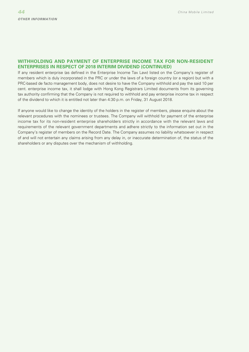# **WITHHOLDING AND PAYMENT OF ENTERPRISE INCOME TAX FOR NON-RESIDENT ENTERPRISES IN RESPECT OF 2018 INTERIM DIVIDEND (CONTINUED)**

If any resident enterprise (as defined in the Enterprise Income Tax Law) listed on the Company's register of members which is duly incorporated in the PRC or under the laws of a foreign country (or a region) but with a PRC-based de facto management body, does not desire to have the Company withhold and pay the said 10 per cent. enterprise income tax, it shall lodge with Hong Kong Registrars Limited documents from its governing tax authority confirming that the Company is not required to withhold and pay enterprise income tax in respect of the dividend to which it is entitled not later than 4:30 p.m. on Friday, 31 August 2018.

If anyone would like to change the identity of the holders in the register of members, please enquire about the relevant procedures with the nominees or trustees. The Company will withhold for payment of the enterprise income tax for its non-resident enterprise shareholders strictly in accordance with the relevant laws and requirements of the relevant government departments and adhere strictly to the information set out in the Company's register of members on the Record Date. The Company assumes no liability whatsoever in respect of and will not entertain any claims arising from any delay in, or inaccurate determination of, the status of the shareholders or any disputes over the mechanism of withholding.